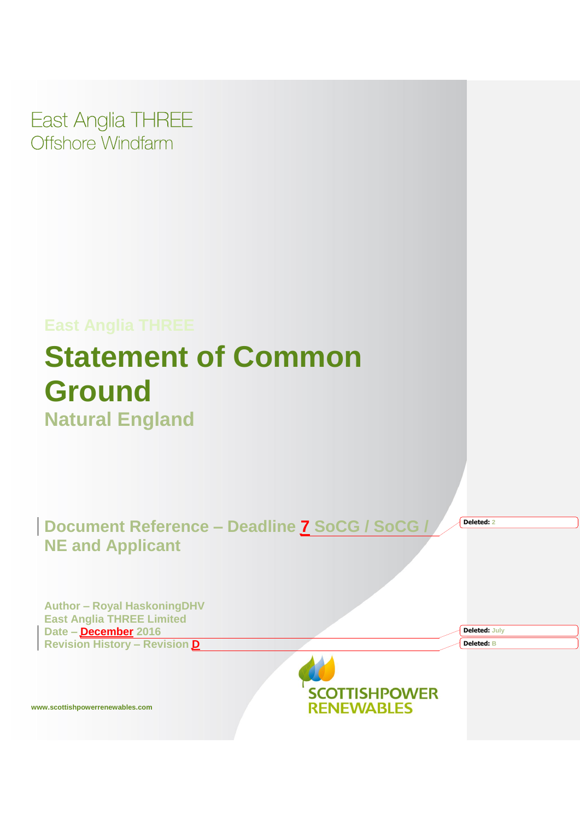East Anglia THREE Offshore Windfarm

# **East Anglia THREE Statement of Common Ground Natural England**

**Document Reference – Deadline 7 SoCG / SoCG / NE and Applicant** 

**Deleted: 2**

**Deleted: July Deleted: B**

**Author – Royal HaskoningDHV East Anglia THREE Limited Date – December 2016 Revision History – Revision D**



**www.scottishpowerrenewables.com**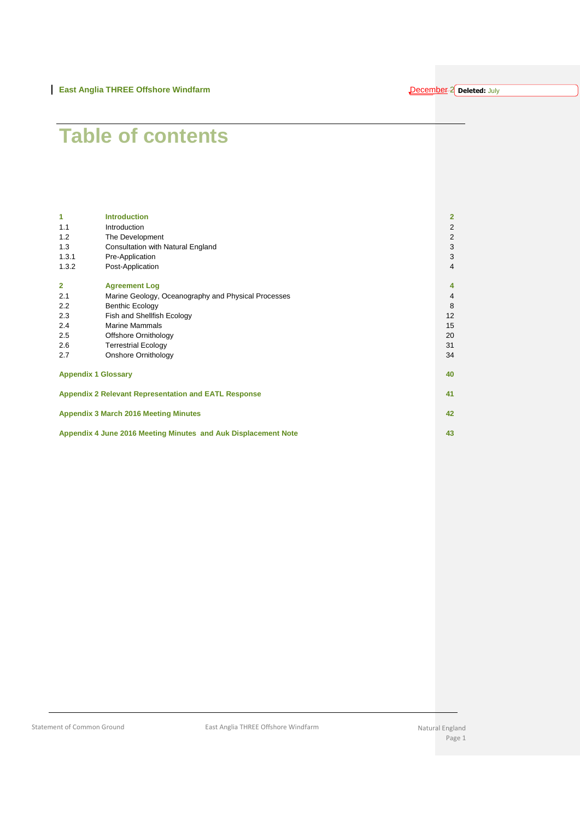#### **December-2** Deleted: July

# **Table of contents**

| 1                                                              | <b>Introduction</b>                                         |  | 2                       |  |  |
|----------------------------------------------------------------|-------------------------------------------------------------|--|-------------------------|--|--|
| 1.1                                                            | Introduction                                                |  | $\overline{\mathbf{c}}$ |  |  |
| 1.2                                                            | The Development                                             |  | $\overline{\mathbf{c}}$ |  |  |
| 1.3                                                            | Consultation with Natural England                           |  | 3                       |  |  |
| 1.3.1                                                          | Pre-Application                                             |  | 3                       |  |  |
| 1.3.2                                                          | Post-Application                                            |  | 4                       |  |  |
| $\overline{2}$                                                 | <b>Agreement Log</b>                                        |  | 4                       |  |  |
| 2.1                                                            | Marine Geology, Oceanography and Physical Processes         |  | 4                       |  |  |
| 2.2                                                            | <b>Benthic Ecology</b>                                      |  | 8                       |  |  |
| 2.3                                                            | Fish and Shellfish Ecology                                  |  | 12                      |  |  |
| 2.4                                                            | <b>Marine Mammals</b>                                       |  | 15                      |  |  |
| 2.5                                                            | Offshore Ornithology                                        |  | 20                      |  |  |
| 2.6                                                            | <b>Terrestrial Ecology</b>                                  |  | 31                      |  |  |
| 2.7                                                            | Onshore Ornithology                                         |  | 34                      |  |  |
|                                                                | <b>Appendix 1 Glossary</b>                                  |  | 40                      |  |  |
|                                                                | <b>Appendix 2 Relevant Representation and EATL Response</b> |  |                         |  |  |
| <b>Appendix 3 March 2016 Meeting Minutes</b>                   |                                                             |  |                         |  |  |
| Appendix 4 June 2016 Meeting Minutes and Auk Displacement Note |                                                             |  |                         |  |  |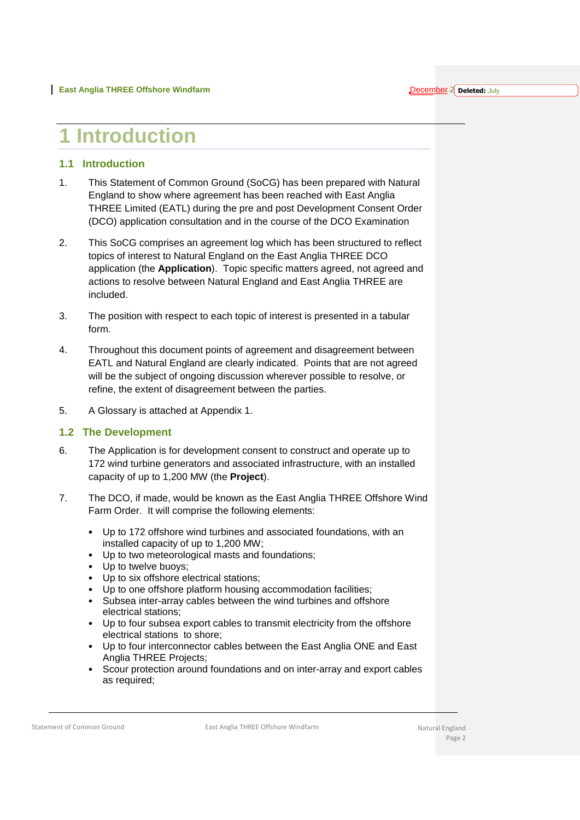### <span id="page-2-0"></span>**1 Introduction**

#### <span id="page-2-1"></span>**1.1 Introduction**

- 1. This Statement of Common Ground (SoCG) has been prepared with Natural England to show where agreement has been reached with East Anglia THREE Limited (EATL) during the pre and post Development Consent Order (DCO) application consultation and in the course of the DCO Examination
- 2. This SoCG comprises an agreement log which has been structured to reflect topics of interest to Natural England on the East Anglia THREE DCO application (the **Application**). Topic specific matters agreed, not agreed and actions to resolve between Natural England and East Anglia THREE are included.
- 3. The position with respect to each topic of interest is presented in a tabular form.
- 4. Throughout this document points of agreement and disagreement between EATL and Natural England are clearly indicated. Points that are not agreed will be the subject of ongoing discussion wherever possible to resolve, or refine, the extent of disagreement between the parties.
- 5. A Glossary is attached at Appendix 1.

#### <span id="page-2-2"></span>**1.2 The Development**

- 6. The Application is for development consent to construct and operate up to 172 wind turbine generators and associated infrastructure, with an installed capacity of up to 1,200 MW (the **Project**).
- 7. The DCO, if made, would be known as the East Anglia THREE Offshore Wind Farm Order. It will comprise the following elements:
	- Up to 172 offshore wind turbines and associated foundations, with an installed capacity of up to 1,200 MW;
	- Up to two meteorological masts and foundations;
	- Up to twelve buoys;
	- Up to six offshore electrical stations;
	- Up to one offshore platform housing accommodation facilities;
	- Subsea inter-array cables between the wind turbines and offshore electrical stations;
	- Up to four subsea export cables to transmit electricity from the offshore electrical stations to shore;
	- Up to four interconnector cables between the East Anglia ONE and East Anglia THREE Projects;
	- Scour protection around foundations and on inter-array and export cables as required;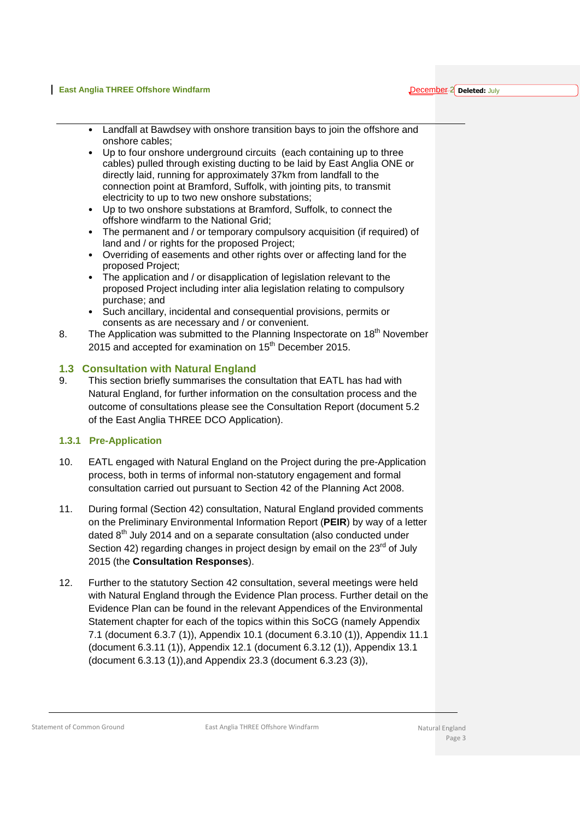#### **East Anglia THREE Offshore Windfarm**

December-2 peleted: July

- Landfall at Bawdsey with onshore transition bays to join the offshore and onshore cables;
- Up to four onshore underground circuits (each containing up to three cables) pulled through existing ducting to be laid by East Anglia ONE or directly laid, running for approximately 37km from landfall to the connection point at Bramford, Suffolk, with jointing pits, to transmit electricity to up to two new onshore substations;
- Up to two onshore substations at Bramford, Suffolk, to connect the offshore windfarm to the National Grid;
- The permanent and / or temporary compulsory acquisition (if required) of land and / or rights for the proposed Project;
- Overriding of easements and other rights over or affecting land for the proposed Project;
- The application and / or disapplication of legislation relevant to the proposed Project including inter alia legislation relating to compulsory purchase; and
- Such ancillary, incidental and consequential provisions, permits or consents as are necessary and / or convenient.
- 8. The Application was submitted to the Planning Inspectorate on 18<sup>th</sup> November 2015 and accepted for examination on 15<sup>th</sup> December 2015.

#### <span id="page-3-0"></span>**1.3 Consultation with Natural England**

9. This section briefly summarises the consultation that EATL has had with Natural England, for further information on the consultation process and the outcome of consultations please see the Consultation Report (document 5.2 of the East Anglia THREE DCO Application).

### <span id="page-3-1"></span>**1.3.1 Pre-Application**

- 10. EATL engaged with Natural England on the Project during the pre-Application process, both in terms of informal non-statutory engagement and formal consultation carried out pursuant to Section 42 of the Planning Act 2008.
- 11. During formal (Section 42) consultation, Natural England provided comments on the Preliminary Environmental Information Report (**PEIR**) by way of a letter dated 8<sup>th</sup> July 2014 and on a separate consultation (also conducted under Section 42) regarding changes in project design by email on the 23<sup>rd</sup> of July 2015 (the **Consultation Responses**).
- 12. Further to the statutory Section 42 consultation, several meetings were held with Natural England through the Evidence Plan process. Further detail on the Evidence Plan can be found in the relevant Appendices of the Environmental Statement chapter for each of the topics within this SoCG (namely Appendix 7.1 (document 6.3.7 (1)), Appendix 10.1 (document 6.3.10 (1)), Appendix 11.1 (document 6.3.11 (1)), Appendix 12.1 (document 6.3.12 (1)), Appendix 13.1 (document 6.3.13 (1)),and Appendix 23.3 (document 6.3.23 (3)),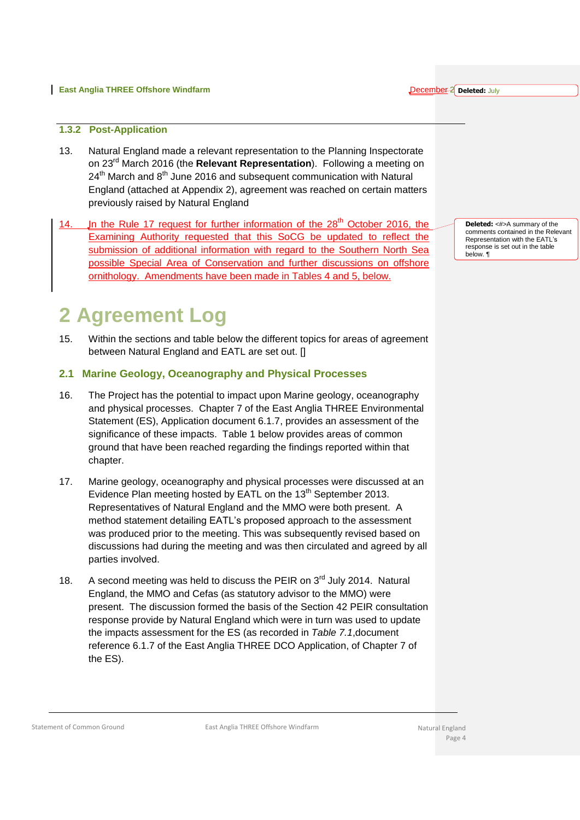#### **East Anglia THREE Offshore Windfarm**

#### December-2 peleted: July

#### <span id="page-4-0"></span>**1.3.2 Post-Application**

- 13. Natural England made a relevant representation to the Planning Inspectorate on 23rd March 2016 (the **Relevant Representation**). Following a meeting on 24<sup>th</sup> March and 8<sup>th</sup> June 2016 and subsequent communication with Natural England (attached at Appendix 2), agreement was reached on certain matters previously raised by Natural England
- 14. Jn the Rule 17 request for further information of the  $28<sup>th</sup>$  October 2016, the Examining Authority requested that this SoCG be updated to reflect the submission of additional information with regard to the Southern North Sea possible Special Area of Conservation and further discussions on offshore ornithology. Amendments have been made in Tables 4 and 5, below.

### <span id="page-4-1"></span>**2 Agreement Log**

15. Within the sections and table below the different topics for areas of agreement between Natural England and EATL are set out. []

#### <span id="page-4-2"></span>**2.1 Marine Geology, Oceanography and Physical Processes**

- 16. The Project has the potential to impact upon Marine geology, oceanography and physical processes. Chapter 7 of the East Anglia THREE Environmental Statement (ES), Application document 6.1.7, provides an assessment of the significance of these impacts. Table 1 below provides areas of common ground that have been reached regarding the findings reported within that chapter.
- 17. Marine geology, oceanography and physical processes were discussed at an Evidence Plan meeting hosted by EATL on the  $13<sup>th</sup>$  September 2013. Representatives of Natural England and the MMO were both present. A method statement detailing EATL's proposed approach to the assessment was produced prior to the meeting. This was subsequently revised based on discussions had during the meeting and was then circulated and agreed by all parties involved.
- 18. A second meeting was held to discuss the PEIR on 3<sup>rd</sup> July 2014. Natural England, the MMO and Cefas (as statutory advisor to the MMO) were present. The discussion formed the basis of the Section 42 PEIR consultation response provide by Natural England which were in turn was used to update the impacts assessment for the ES (as recorded in *Table 7.1*,document reference 6.1.7 of the East Anglia THREE DCO Application, of Chapter 7 of the ES).

**Deleted:** <#>A summary of the comments contained in the Relevant Representation with the EATL's response is set out in the table below. ¶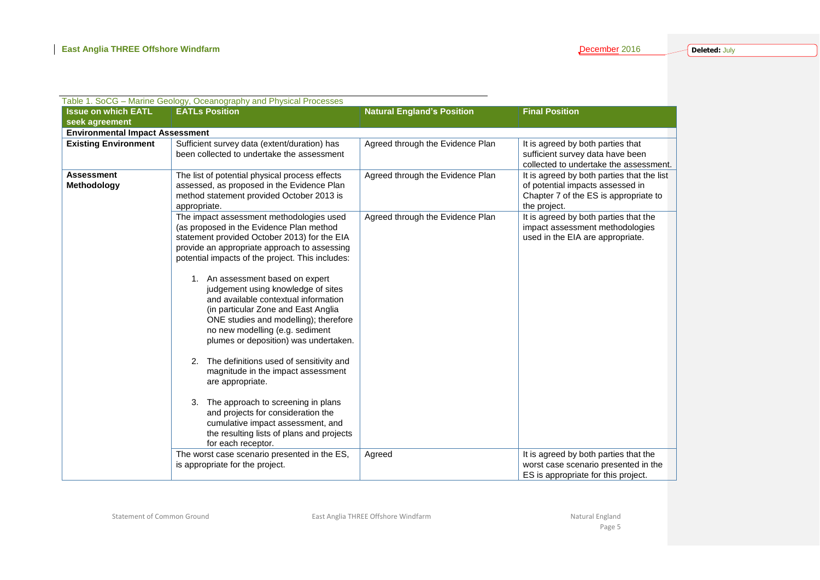| Table 1. SoCG - Marine Geology, Oceanography and Physical Processes |                                                                                                                                                                                                                                                                                                                                                                                                                                                                                                                                                                                                                                                                                                                                                                                                                             |                                   |                                                                                                                                         |  |  |  |
|---------------------------------------------------------------------|-----------------------------------------------------------------------------------------------------------------------------------------------------------------------------------------------------------------------------------------------------------------------------------------------------------------------------------------------------------------------------------------------------------------------------------------------------------------------------------------------------------------------------------------------------------------------------------------------------------------------------------------------------------------------------------------------------------------------------------------------------------------------------------------------------------------------------|-----------------------------------|-----------------------------------------------------------------------------------------------------------------------------------------|--|--|--|
| <b>Issue on which EATL</b>                                          | <b>EATLs Position</b>                                                                                                                                                                                                                                                                                                                                                                                                                                                                                                                                                                                                                                                                                                                                                                                                       | <b>Natural England's Position</b> | <b>Final Position</b>                                                                                                                   |  |  |  |
| seek agreement                                                      |                                                                                                                                                                                                                                                                                                                                                                                                                                                                                                                                                                                                                                                                                                                                                                                                                             |                                   |                                                                                                                                         |  |  |  |
| <b>Environmental Impact Assessment</b>                              |                                                                                                                                                                                                                                                                                                                                                                                                                                                                                                                                                                                                                                                                                                                                                                                                                             |                                   |                                                                                                                                         |  |  |  |
| <b>Existing Environment</b>                                         | Sufficient survey data (extent/duration) has<br>been collected to undertake the assessment                                                                                                                                                                                                                                                                                                                                                                                                                                                                                                                                                                                                                                                                                                                                  | Agreed through the Evidence Plan  | It is agreed by both parties that<br>sufficient survey data have been<br>collected to undertake the assessment.                         |  |  |  |
| <b>Assessment</b><br>Methodology                                    | The list of potential physical process effects<br>assessed, as proposed in the Evidence Plan<br>method statement provided October 2013 is<br>appropriate.                                                                                                                                                                                                                                                                                                                                                                                                                                                                                                                                                                                                                                                                   | Agreed through the Evidence Plan  | It is agreed by both parties that the list<br>of potential impacts assessed in<br>Chapter 7 of the ES is appropriate to<br>the project. |  |  |  |
|                                                                     | The impact assessment methodologies used<br>(as proposed in the Evidence Plan method<br>statement provided October 2013) for the EIA<br>provide an appropriate approach to assessing<br>potential impacts of the project. This includes:<br>1. An assessment based on expert<br>judgement using knowledge of sites<br>and available contextual information<br>(in particular Zone and East Anglia<br>ONE studies and modelling); therefore<br>no new modelling (e.g. sediment<br>plumes or deposition) was undertaken.<br>The definitions used of sensitivity and<br>2.<br>magnitude in the impact assessment<br>are appropriate.<br>The approach to screening in plans<br>3.<br>and projects for consideration the<br>cumulative impact assessment, and<br>the resulting lists of plans and projects<br>for each receptor. | Agreed through the Evidence Plan  | It is agreed by both parties that the<br>impact assessment methodologies<br>used in the EIA are appropriate.                            |  |  |  |
|                                                                     | The worst case scenario presented in the ES,<br>is appropriate for the project.                                                                                                                                                                                                                                                                                                                                                                                                                                                                                                                                                                                                                                                                                                                                             | Agreed                            | It is agreed by both parties that the<br>worst case scenario presented in the<br>ES is appropriate for this project.                    |  |  |  |

Statement of Common Ground **East Anglia THREE Offshore Windfarm** Natural England Natural England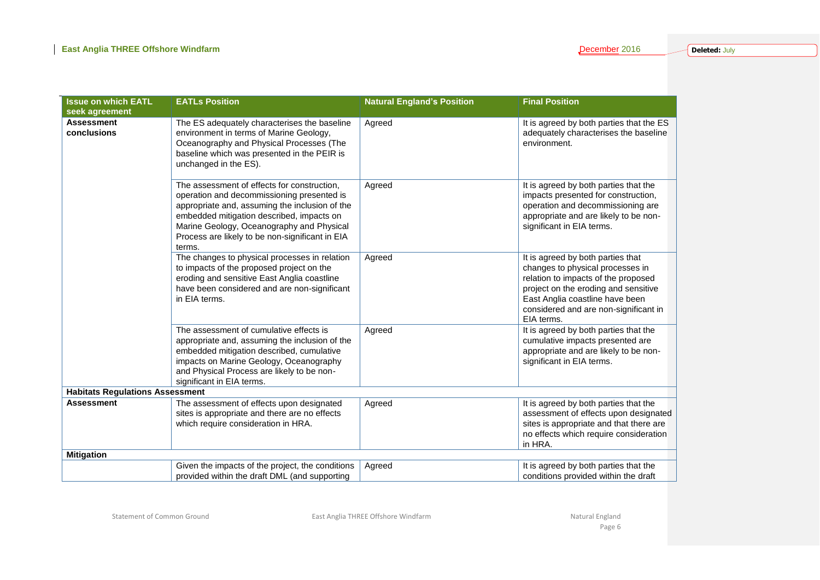| <b>Issue on which EATL</b>             | <b>EATLs Position</b>                                                                                                                                                                                                                                                                              | <b>Natural England's Position</b> | <b>Final Position</b>                                                                                                                                                                                                                          |
|----------------------------------------|----------------------------------------------------------------------------------------------------------------------------------------------------------------------------------------------------------------------------------------------------------------------------------------------------|-----------------------------------|------------------------------------------------------------------------------------------------------------------------------------------------------------------------------------------------------------------------------------------------|
| seek agreement                         |                                                                                                                                                                                                                                                                                                    |                                   |                                                                                                                                                                                                                                                |
| <b>Assessment</b><br>conclusions       | The ES adequately characterises the baseline<br>environment in terms of Marine Geology,<br>Oceanography and Physical Processes (The<br>baseline which was presented in the PEIR is<br>unchanged in the ES).                                                                                        | Agreed                            | It is agreed by both parties that the ES<br>adequately characterises the baseline<br>environment.                                                                                                                                              |
|                                        | The assessment of effects for construction,<br>operation and decommissioning presented is<br>appropriate and, assuming the inclusion of the<br>embedded mitigation described, impacts on<br>Marine Geology, Oceanography and Physical<br>Process are likely to be non-significant in EIA<br>terms. | Agreed                            | It is agreed by both parties that the<br>impacts presented for construction,<br>operation and decommissioning are<br>appropriate and are likely to be non-<br>significant in EIA terms.                                                        |
|                                        | The changes to physical processes in relation<br>to impacts of the proposed project on the<br>eroding and sensitive East Anglia coastline<br>have been considered and are non-significant<br>in EIA terms.                                                                                         | Agreed                            | It is agreed by both parties that<br>changes to physical processes in<br>relation to impacts of the proposed<br>project on the eroding and sensitive<br>East Anglia coastline have been<br>considered and are non-significant in<br>EIA terms. |
|                                        | The assessment of cumulative effects is<br>appropriate and, assuming the inclusion of the<br>embedded mitigation described, cumulative<br>impacts on Marine Geology, Oceanography<br>and Physical Process are likely to be non-<br>significant in EIA terms.                                       | Agreed                            | It is agreed by both parties that the<br>cumulative impacts presented are<br>appropriate and are likely to be non-<br>significant in EIA terms.                                                                                                |
| <b>Habitats Regulations Assessment</b> |                                                                                                                                                                                                                                                                                                    |                                   |                                                                                                                                                                                                                                                |
| <b>Assessment</b>                      | The assessment of effects upon designated<br>sites is appropriate and there are no effects<br>which require consideration in HRA.                                                                                                                                                                  | Agreed                            | It is agreed by both parties that the<br>assessment of effects upon designated<br>sites is appropriate and that there are<br>no effects which require consideration<br>in HRA.                                                                 |
| <b>Mitigation</b>                      |                                                                                                                                                                                                                                                                                                    |                                   |                                                                                                                                                                                                                                                |
|                                        | Given the impacts of the project, the conditions<br>provided within the draft DML (and supporting                                                                                                                                                                                                  | Agreed                            | It is agreed by both parties that the<br>conditions provided within the draft                                                                                                                                                                  |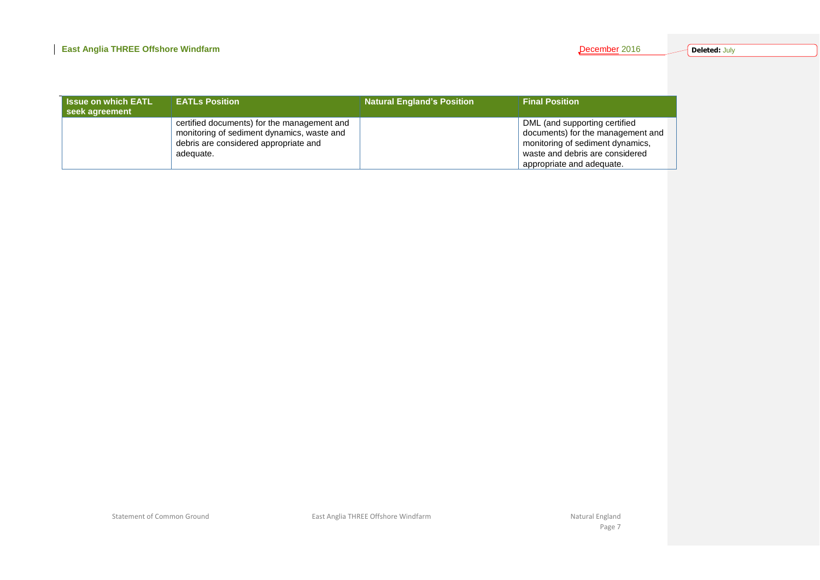| <b>Issue on which EATL</b><br>seek agreement | <b>EATLs Position</b>                                                                                                                           | <b>Natural England's Position</b> | <b>Final Position</b>                                                                                                                                                  |
|----------------------------------------------|-------------------------------------------------------------------------------------------------------------------------------------------------|-----------------------------------|------------------------------------------------------------------------------------------------------------------------------------------------------------------------|
|                                              | certified documents) for the management and<br>monitoring of sediment dynamics, waste and<br>debris are considered appropriate and<br>adequate. |                                   | DML (and supporting certified<br>documents) for the management and<br>monitoring of sediment dynamics,<br>waste and debris are considered<br>appropriate and adequate. |

Statement of Common Ground **East Anglia THREE Offshore Windfarm** Natural England Natural England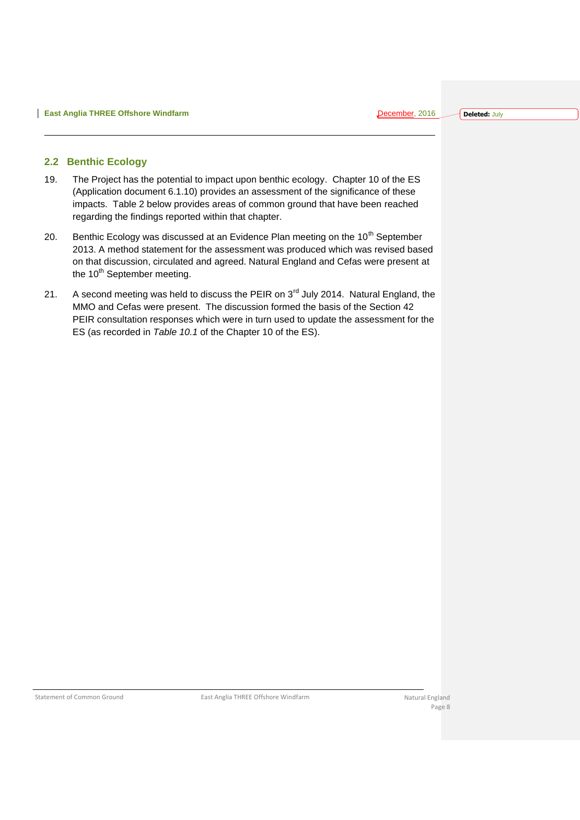#### <span id="page-8-0"></span>**2.2 Benthic Ecology**

- 19. The Project has the potential to impact upon benthic ecology. Chapter 10 of the ES (Application document 6.1.10) provides an assessment of the significance of these impacts. Table 2 below provides areas of common ground that have been reached regarding the findings reported within that chapter.
- 20. Benthic Ecology was discussed at an Evidence Plan meeting on the  $10<sup>th</sup>$  September 2013. A method statement for the assessment was produced which was revised based on that discussion, circulated and agreed. Natural England and Cefas were present at the 10<sup>th</sup> September meeting.
- 21. A second meeting was held to discuss the PEIR on 3<sup>rd</sup> July 2014. Natural England, the MMO and Cefas were present. The discussion formed the basis of the Section 42 PEIR consultation responses which were in turn used to update the assessment for the ES (as recorded in *Table 10.1* of the Chapter 10 of the ES).

Statement of Common Ground **East Anglia THREE Offshore Windfarm** Natural England Natural England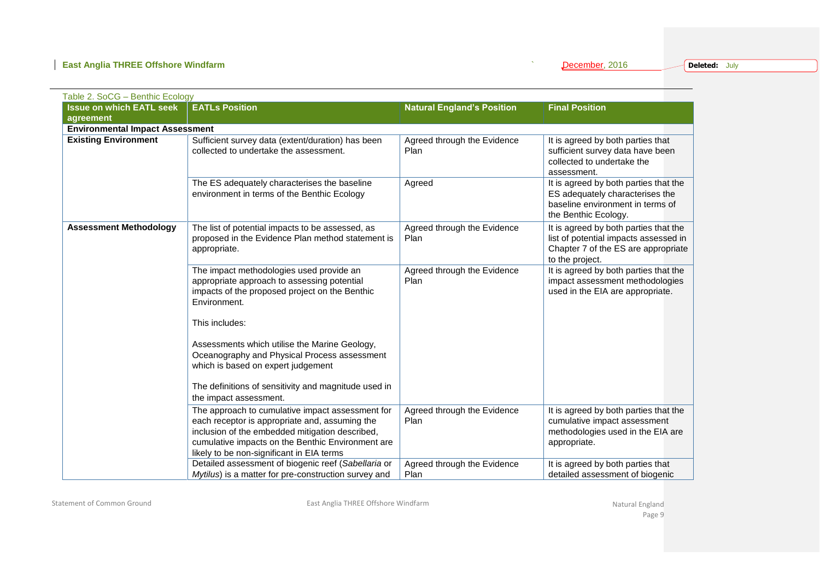| Table 2. SoCG - Benthic Ecology        |                                                                                                                                                                                                                                                         |                                     |                                                                                                                                          |
|----------------------------------------|---------------------------------------------------------------------------------------------------------------------------------------------------------------------------------------------------------------------------------------------------------|-------------------------------------|------------------------------------------------------------------------------------------------------------------------------------------|
| <b>Issue on which EATL seek</b>        | <b>EATLs Position</b>                                                                                                                                                                                                                                   | <b>Natural England's Position</b>   | <b>Final Position</b>                                                                                                                    |
| agreement                              |                                                                                                                                                                                                                                                         |                                     |                                                                                                                                          |
| <b>Environmental Impact Assessment</b> |                                                                                                                                                                                                                                                         |                                     |                                                                                                                                          |
| <b>Existing Environment</b>            | Sufficient survey data (extent/duration) has been<br>collected to undertake the assessment.                                                                                                                                                             | Agreed through the Evidence<br>Plan | It is agreed by both parties that<br>sufficient survey data have been<br>collected to undertake the<br>assessment.                       |
|                                        | The ES adequately characterises the baseline<br>environment in terms of the Benthic Ecology                                                                                                                                                             | Agreed                              | It is agreed by both parties that the<br>ES adequately characterises the<br>baseline environment in terms of<br>the Benthic Ecology.     |
| <b>Assessment Methodology</b>          | The list of potential impacts to be assessed, as<br>proposed in the Evidence Plan method statement is<br>appropriate.                                                                                                                                   | Agreed through the Evidence<br>Plan | It is agreed by both parties that the<br>list of potential impacts assessed in<br>Chapter 7 of the ES are appropriate<br>to the project. |
|                                        | The impact methodologies used provide an<br>appropriate approach to assessing potential<br>impacts of the proposed project on the Benthic<br>Environment.                                                                                               | Agreed through the Evidence<br>Plan | It is agreed by both parties that the<br>impact assessment methodologies<br>used in the EIA are appropriate.                             |
|                                        | This includes:                                                                                                                                                                                                                                          |                                     |                                                                                                                                          |
|                                        | Assessments which utilise the Marine Geology,<br>Oceanography and Physical Process assessment<br>which is based on expert judgement                                                                                                                     |                                     |                                                                                                                                          |
|                                        | The definitions of sensitivity and magnitude used in<br>the impact assessment.                                                                                                                                                                          |                                     |                                                                                                                                          |
|                                        | The approach to cumulative impact assessment for<br>each receptor is appropriate and, assuming the<br>inclusion of the embedded mitigation described,<br>cumulative impacts on the Benthic Environment are<br>likely to be non-significant in EIA terms | Agreed through the Evidence<br>Plan | It is agreed by both parties that the<br>cumulative impact assessment<br>methodologies used in the EIA are<br>appropriate.               |
|                                        | Detailed assessment of biogenic reef (Sabellaria or<br>Mytilus) is a matter for pre-construction survey and                                                                                                                                             | Agreed through the Evidence<br>Plan | It is agreed by both parties that<br>detailed assessment of biogenic                                                                     |

Statement of Common Ground **East Anglia THREE Offshore Windfarm** Changes and Statement of Common Ground England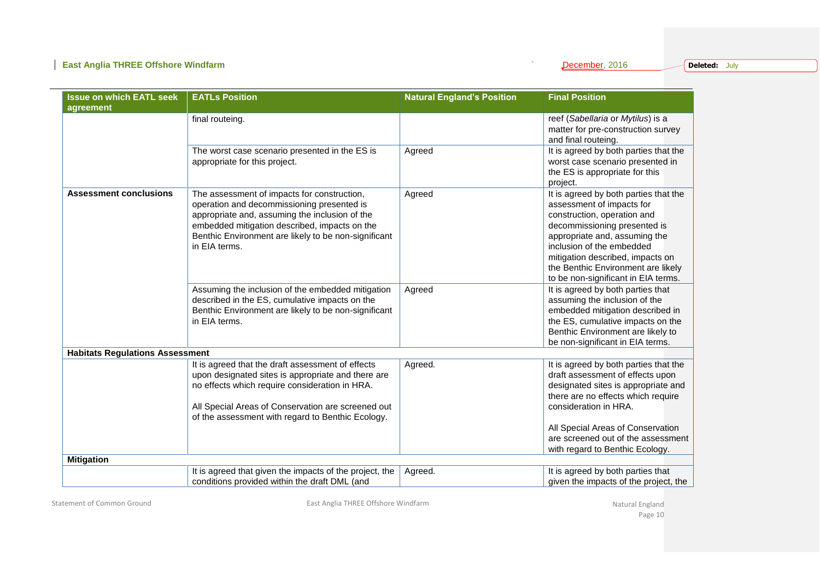### **East Anglia THREE Offshore Windfarm Contract Anglia THREE Offshore Windfarm Contract Anglia THREE Offshore Windfarm**

 $\overline{\phantom{a}}$ 

|  |  | December, 2016 |  |  |
|--|--|----------------|--|--|
|  |  |                |  |  |

**Deleted:** July

| <b>Issue on which EATL seek</b>        | <b>EATLs Position</b>                                                                               | <b>Natural England's Position</b> | <b>Final Position</b>                                              |
|----------------------------------------|-----------------------------------------------------------------------------------------------------|-----------------------------------|--------------------------------------------------------------------|
| agreement                              |                                                                                                     |                                   |                                                                    |
|                                        | final routeing.                                                                                     |                                   | reef (Sabellaria or Mytilus) is a                                  |
|                                        |                                                                                                     |                                   | matter for pre-construction survey                                 |
|                                        |                                                                                                     |                                   | and final routeing.                                                |
|                                        | The worst case scenario presented in the ES is                                                      | Agreed                            | It is agreed by both parties that the                              |
|                                        | appropriate for this project.                                                                       |                                   | worst case scenario presented in                                   |
|                                        |                                                                                                     |                                   | the ES is appropriate for this                                     |
|                                        |                                                                                                     |                                   | project.                                                           |
| <b>Assessment conclusions</b>          | The assessment of impacts for construction,                                                         | Agreed                            | It is agreed by both parties that the                              |
|                                        | operation and decommissioning presented is                                                          |                                   | assessment of impacts for                                          |
|                                        | appropriate and, assuming the inclusion of the                                                      |                                   | construction, operation and                                        |
|                                        | embedded mitigation described, impacts on the                                                       |                                   | decommissioning presented is                                       |
|                                        | Benthic Environment are likely to be non-significant                                                |                                   | appropriate and, assuming the                                      |
|                                        | in EIA terms.                                                                                       |                                   | inclusion of the embedded                                          |
|                                        |                                                                                                     |                                   | mitigation described, impacts on                                   |
|                                        |                                                                                                     |                                   | the Benthic Environment are likely                                 |
|                                        |                                                                                                     |                                   | to be non-significant in EIA terms.                                |
|                                        | Assuming the inclusion of the embedded mitigation<br>described in the ES, cumulative impacts on the | Agreed                            | It is agreed by both parties that<br>assuming the inclusion of the |
|                                        | Benthic Environment are likely to be non-significant                                                |                                   | embedded mitigation described in                                   |
|                                        | in EIA terms.                                                                                       |                                   | the ES, cumulative impacts on the                                  |
|                                        |                                                                                                     |                                   | Benthic Environment are likely to                                  |
|                                        |                                                                                                     |                                   | be non-significant in EIA terms.                                   |
| <b>Habitats Regulations Assessment</b> |                                                                                                     |                                   |                                                                    |
|                                        | It is agreed that the draft assessment of effects                                                   | Agreed.                           | It is agreed by both parties that the                              |
|                                        | upon designated sites is appropriate and there are                                                  |                                   | draft assessment of effects upon                                   |
|                                        | no effects which require consideration in HRA.                                                      |                                   | designated sites is appropriate and                                |
|                                        |                                                                                                     |                                   | there are no effects which require                                 |
|                                        | All Special Areas of Conservation are screened out                                                  |                                   | consideration in HRA.                                              |
|                                        | of the assessment with regard to Benthic Ecology.                                                   |                                   |                                                                    |
|                                        |                                                                                                     |                                   | All Special Areas of Conservation                                  |
|                                        |                                                                                                     |                                   | are screened out of the assessment                                 |
|                                        |                                                                                                     |                                   | with regard to Benthic Ecology.                                    |
| <b>Mitigation</b>                      |                                                                                                     |                                   |                                                                    |
|                                        | It is agreed that given the impacts of the project, the                                             | Agreed.                           | It is agreed by both parties that                                  |
|                                        | conditions provided within the draft DML (and                                                       |                                   | given the impacts of the project, the                              |

Statement of Common Ground **East Anglia THREE Offshore Windfarm** Changes and Statement of Common Ground England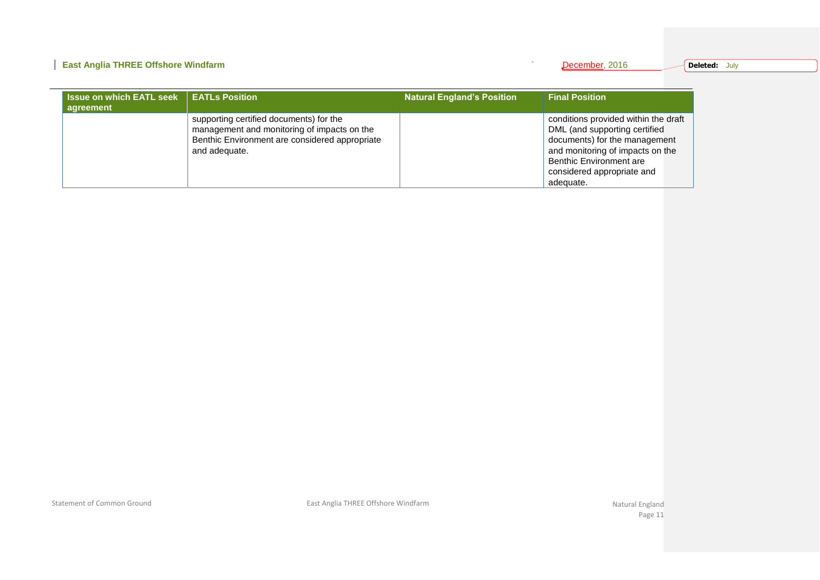### **East Anglia THREE Offshore Windfarm Contract Accounts and Accounts and Accounts 2016 December**, 2016

|  |  | December, 201 |  |  |
|--|--|---------------|--|--|
|  |  |               |  |  |

| <b>Issue on which EATL seek</b><br>agreement | <b>EATLs Position</b>                                                                                                                                     | <b>Natural England's Position</b> | <b>Final Position</b>                                                                                                                                                                                            |
|----------------------------------------------|-----------------------------------------------------------------------------------------------------------------------------------------------------------|-----------------------------------|------------------------------------------------------------------------------------------------------------------------------------------------------------------------------------------------------------------|
|                                              | supporting certified documents) for the<br>management and monitoring of impacts on the<br>Benthic Environment are considered appropriate<br>and adequate. |                                   | conditions provided within the draft<br>DML (and supporting certified<br>documents) for the management<br>and monitoring of impacts on the<br>Benthic Environment are<br>considered appropriate and<br>adequate. |

Statement of Common Ground **East Anglia THREE Offshore Windfarm** Changes and Statement of Common Ground England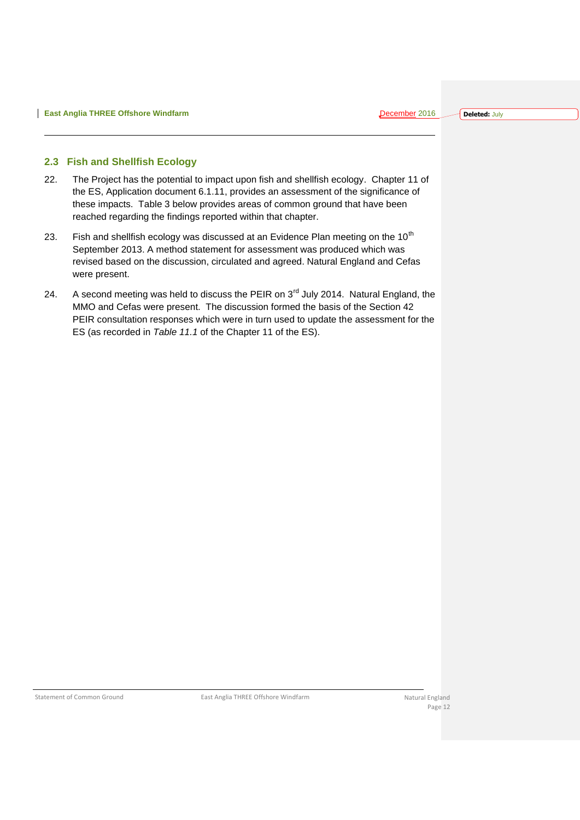#### <span id="page-12-0"></span>**2.3 Fish and Shellfish Ecology**

- 22. The Project has the potential to impact upon fish and shellfish ecology. Chapter 11 of the ES, Application document 6.1.11, provides an assessment of the significance of these impacts. Table 3 below provides areas of common ground that have been reached regarding the findings reported within that chapter.
- 23. Fish and shellfish ecology was discussed at an Evidence Plan meeting on the  $10^{th}$ September 2013. A method statement for assessment was produced which was revised based on the discussion, circulated and agreed. Natural England and Cefas were present.
- 24. A second meeting was held to discuss the PEIR on 3<sup>rd</sup> July 2014. Natural England, the MMO and Cefas were present. The discussion formed the basis of the Section 42 PEIR consultation responses which were in turn used to update the assessment for the ES (as recorded in *Table 11.1* of the Chapter 11 of the ES).

Statement of Common Ground **East Anglia THREE Offshore Windfarm** Natural England Natural England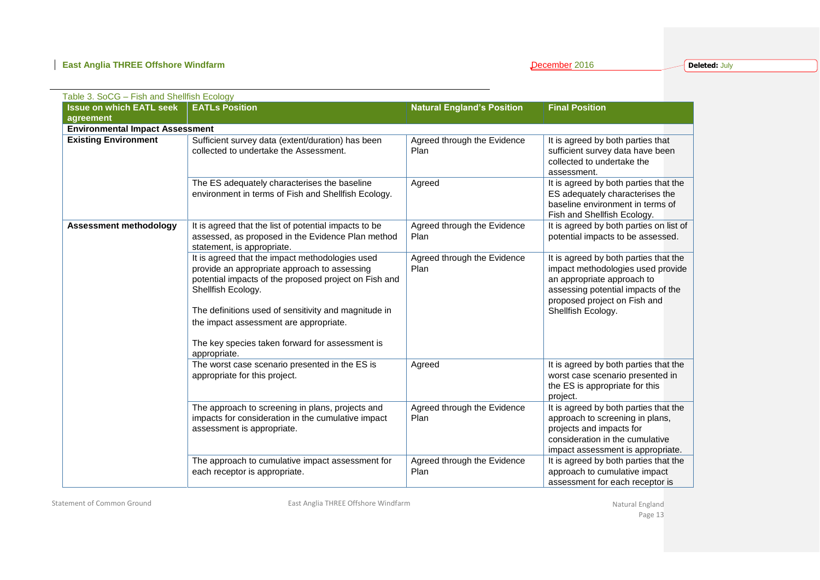| Table 3. SoCG - Fish and Shellfish Ecology |                                                                                                                                                                                                                                                                                                                                                     |                                     |                                                                                                                                                                                                      |
|--------------------------------------------|-----------------------------------------------------------------------------------------------------------------------------------------------------------------------------------------------------------------------------------------------------------------------------------------------------------------------------------------------------|-------------------------------------|------------------------------------------------------------------------------------------------------------------------------------------------------------------------------------------------------|
| <b>Issue on which EATL seek</b>            | <b>EATLs Position</b>                                                                                                                                                                                                                                                                                                                               | <b>Natural England's Position</b>   | <b>Final Position</b>                                                                                                                                                                                |
| agreement                                  |                                                                                                                                                                                                                                                                                                                                                     |                                     |                                                                                                                                                                                                      |
| <b>Environmental Impact Assessment</b>     |                                                                                                                                                                                                                                                                                                                                                     |                                     |                                                                                                                                                                                                      |
| <b>Existing Environment</b>                | Sufficient survey data (extent/duration) has been<br>collected to undertake the Assessment.                                                                                                                                                                                                                                                         | Agreed through the Evidence<br>Plan | It is agreed by both parties that<br>sufficient survey data have been<br>collected to undertake the<br>assessment.                                                                                   |
|                                            | The ES adequately characterises the baseline<br>environment in terms of Fish and Shellfish Ecology.                                                                                                                                                                                                                                                 | Agreed                              | It is agreed by both parties that the<br>ES adequately characterises the<br>baseline environment in terms of<br>Fish and Shellfish Ecology.                                                          |
| <b>Assessment methodology</b>              | It is agreed that the list of potential impacts to be<br>assessed, as proposed in the Evidence Plan method<br>statement, is appropriate.                                                                                                                                                                                                            | Agreed through the Evidence<br>Plan | It is agreed by both parties on list of<br>potential impacts to be assessed.                                                                                                                         |
|                                            | It is agreed that the impact methodologies used<br>provide an appropriate approach to assessing<br>potential impacts of the proposed project on Fish and<br>Shellfish Ecology.<br>The definitions used of sensitivity and magnitude in<br>the impact assessment are appropriate.<br>The key species taken forward for assessment is<br>appropriate. | Agreed through the Evidence<br>Plan | It is agreed by both parties that the<br>impact methodologies used provide<br>an appropriate approach to<br>assessing potential impacts of the<br>proposed project on Fish and<br>Shellfish Ecology. |
|                                            | The worst case scenario presented in the ES is<br>appropriate for this project.                                                                                                                                                                                                                                                                     | Agreed                              | It is agreed by both parties that the<br>worst case scenario presented in<br>the ES is appropriate for this<br>project.                                                                              |
|                                            | The approach to screening in plans, projects and<br>impacts for consideration in the cumulative impact<br>assessment is appropriate.                                                                                                                                                                                                                | Agreed through the Evidence<br>Plan | It is agreed by both parties that the<br>approach to screening in plans,<br>projects and impacts for<br>consideration in the cumulative<br>impact assessment is appropriate.                         |
|                                            | The approach to cumulative impact assessment for<br>each receptor is appropriate.                                                                                                                                                                                                                                                                   | Agreed through the Evidence<br>Plan | It is agreed by both parties that the<br>approach to cumulative impact<br>assessment for each receptor is                                                                                            |

Statement of Common Ground **East Anglia THREE Offshore Windfarm** Changes and Statement of Common Ground England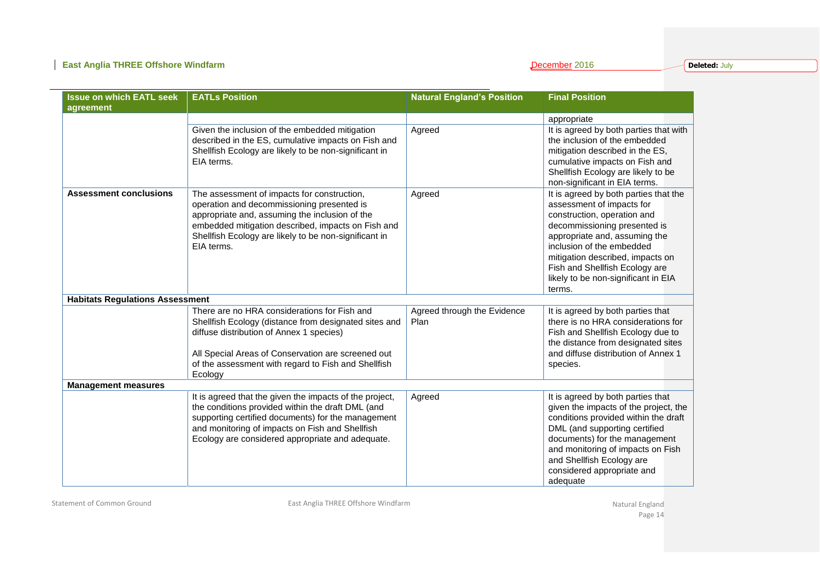**Deleted:** July

| <b>Issue on which EATL seek</b>        | <b>EATLs Position</b>                                   | <b>Natural England's Position</b> | <b>Final Position</b>                  |
|----------------------------------------|---------------------------------------------------------|-----------------------------------|----------------------------------------|
| agreement                              |                                                         |                                   |                                        |
|                                        |                                                         |                                   | appropriate                            |
|                                        | Given the inclusion of the embedded mitigation          | Agreed                            | It is agreed by both parties that with |
|                                        | described in the ES, cumulative impacts on Fish and     |                                   | the inclusion of the embedded          |
|                                        | Shellfish Ecology are likely to be non-significant in   |                                   | mitigation described in the ES,        |
|                                        | EIA terms.                                              |                                   | cumulative impacts on Fish and         |
|                                        |                                                         |                                   | Shellfish Ecology are likely to be     |
|                                        |                                                         |                                   | non-significant in EIA terms.          |
| <b>Assessment conclusions</b>          | The assessment of impacts for construction,             | Agreed                            | It is agreed by both parties that the  |
|                                        | operation and decommissioning presented is              |                                   | assessment of impacts for              |
|                                        | appropriate and, assuming the inclusion of the          |                                   | construction, operation and            |
|                                        | embedded mitigation described, impacts on Fish and      |                                   | decommissioning presented is           |
|                                        | Shellfish Ecology are likely to be non-significant in   |                                   | appropriate and, assuming the          |
|                                        | EIA terms.                                              |                                   | inclusion of the embedded              |
|                                        |                                                         |                                   | mitigation described, impacts on       |
|                                        |                                                         |                                   | Fish and Shellfish Ecology are         |
|                                        |                                                         |                                   | likely to be non-significant in EIA    |
|                                        |                                                         |                                   | terms.                                 |
| <b>Habitats Regulations Assessment</b> |                                                         |                                   |                                        |
|                                        | There are no HRA considerations for Fish and            | Agreed through the Evidence       | It is agreed by both parties that      |
|                                        | Shellfish Ecology (distance from designated sites and   | Plan                              | there is no HRA considerations for     |
|                                        | diffuse distribution of Annex 1 species)                |                                   | Fish and Shellfish Ecology due to      |
|                                        |                                                         |                                   | the distance from designated sites     |
|                                        | All Special Areas of Conservation are screened out      |                                   | and diffuse distribution of Annex 1    |
|                                        | of the assessment with regard to Fish and Shellfish     |                                   | species.                               |
|                                        | Ecology                                                 |                                   |                                        |
| <b>Management measures</b>             |                                                         |                                   |                                        |
|                                        | It is agreed that the given the impacts of the project, | Agreed                            | It is agreed by both parties that      |
|                                        | the conditions provided within the draft DML (and       |                                   | given the impacts of the project, the  |
|                                        | supporting certified documents) for the management      |                                   | conditions provided within the draft   |
|                                        | and monitoring of impacts on Fish and Shellfish         |                                   | DML (and supporting certified          |
|                                        | Ecology are considered appropriate and adequate.        |                                   | documents) for the management          |
|                                        |                                                         |                                   | and monitoring of impacts on Fish      |
|                                        |                                                         |                                   | and Shellfish Ecology are              |
|                                        |                                                         |                                   | considered appropriate and             |
|                                        |                                                         |                                   | adequate                               |

Statement of Common Ground **East Anglia THREE Offshore Windfarm** Changes and Statement of Common Ground England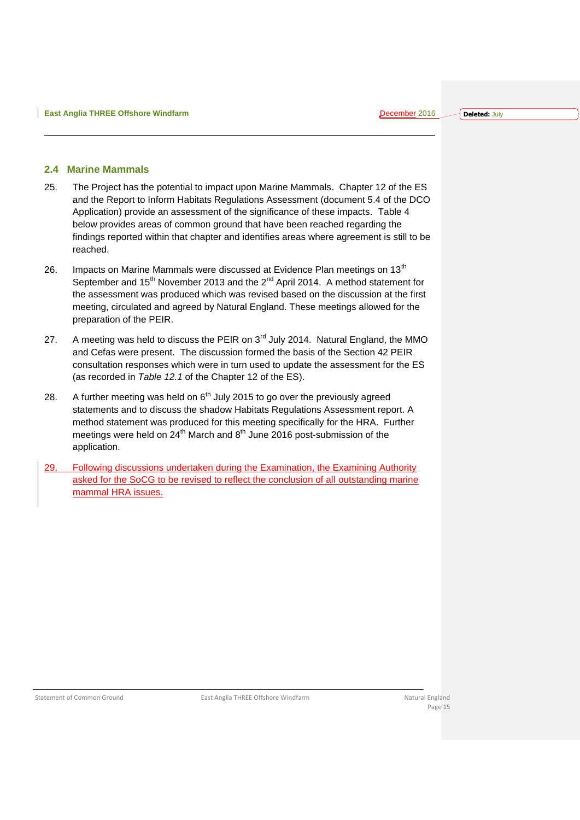#### <span id="page-15-0"></span>**2.4 Marine Mammals**

- 25. The Project has the potential to impact upon Marine Mammals. Chapter 12 of the ES and the Report to Inform Habitats Regulations Assessment (document 5.4 of the DCO Application) provide an assessment of the significance of these impacts. Table 4 below provides areas of common ground that have been reached regarding the findings reported within that chapter and identifies areas where agreement is still to be reached.
- 26. Impacts on Marine Mammals were discussed at Evidence Plan meetings on 13<sup>th</sup> September and 15<sup>th</sup> November 2013 and the 2<sup>nd</sup> April 2014. A method statement for the assessment was produced which was revised based on the discussion at the first meeting, circulated and agreed by Natural England. These meetings allowed for the preparation of the PEIR.
- 27. A meeting was held to discuss the PEIR on  $3<sup>rd</sup>$  July 2014. Natural England, the MMO and Cefas were present. The discussion formed the basis of the Section 42 PEIR consultation responses which were in turn used to update the assessment for the ES (as recorded in *Table 12.1* of the Chapter 12 of the ES).
- 28. A further meeting was held on  $6<sup>th</sup>$  July 2015 to go over the previously agreed statements and to discuss the shadow Habitats Regulations Assessment report. A method statement was produced for this meeting specifically for the HRA. Further meetings were held on  $24<sup>th</sup>$  March and  $8<sup>th</sup>$  June 2016 post-submission of the application.
- 29. Following discussions undertaken during the Examination, the Examining Authority asked for the SoCG to be revised to reflect the conclusion of all outstanding marine mammal HRA issues.

Statement of Common Ground **East Anglia THREE Offshore Windfarm** Natural England Natural England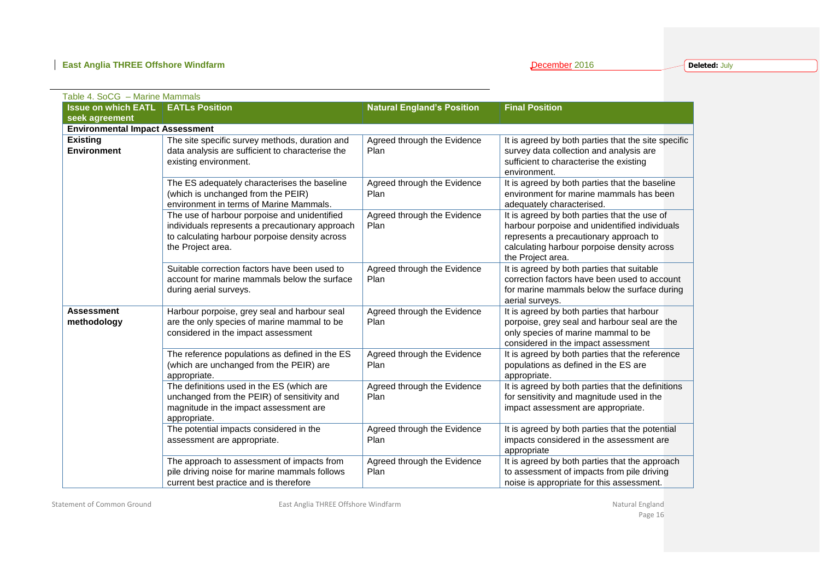| Table 4. SoCG - Marine Mammals         |                                                                                                                                                                        |                                     |                                                                                                                                                                                                             |  |  |  |  |
|----------------------------------------|------------------------------------------------------------------------------------------------------------------------------------------------------------------------|-------------------------------------|-------------------------------------------------------------------------------------------------------------------------------------------------------------------------------------------------------------|--|--|--|--|
| <b>Issue on which EATL</b>             | <b>EATLs Position</b>                                                                                                                                                  | <b>Natural England's Position</b>   | <b>Final Position</b>                                                                                                                                                                                       |  |  |  |  |
| seek agreement                         |                                                                                                                                                                        |                                     |                                                                                                                                                                                                             |  |  |  |  |
| <b>Environmental Impact Assessment</b> |                                                                                                                                                                        |                                     |                                                                                                                                                                                                             |  |  |  |  |
| <b>Existing</b><br><b>Environment</b>  | The site specific survey methods, duration and<br>data analysis are sufficient to characterise the<br>existing environment.                                            | Agreed through the Evidence<br>Plan | It is agreed by both parties that the site specific<br>survey data collection and analysis are<br>sufficient to characterise the existing<br>environment.                                                   |  |  |  |  |
|                                        | The ES adequately characterises the baseline<br>(which is unchanged from the PEIR)<br>environment in terms of Marine Mammals.                                          | Agreed through the Evidence<br>Plan | It is agreed by both parties that the baseline<br>environment for marine mammals has been<br>adequately characterised.                                                                                      |  |  |  |  |
|                                        | The use of harbour porpoise and unidentified<br>individuals represents a precautionary approach<br>to calculating harbour porpoise density across<br>the Project area. | Agreed through the Evidence<br>Plan | It is agreed by both parties that the use of<br>harbour porpoise and unidentified individuals<br>represents a precautionary approach to<br>calculating harbour porpoise density across<br>the Project area. |  |  |  |  |
|                                        | Suitable correction factors have been used to<br>account for marine mammals below the surface<br>during aerial surveys.                                                | Agreed through the Evidence<br>Plan | It is agreed by both parties that suitable<br>correction factors have been used to account<br>for marine mammals below the surface during<br>aerial surveys.                                                |  |  |  |  |
| <b>Assessment</b><br>methodology       | Harbour porpoise, grey seal and harbour seal<br>are the only species of marine mammal to be<br>considered in the impact assessment                                     | Agreed through the Evidence<br>Plan | It is agreed by both parties that harbour<br>porpoise, grey seal and harbour seal are the<br>only species of marine mammal to be<br>considered in the impact assessment                                     |  |  |  |  |
|                                        | The reference populations as defined in the ES<br>(which are unchanged from the PEIR) are<br>appropriate.                                                              | Agreed through the Evidence<br>Plan | It is agreed by both parties that the reference<br>populations as defined in the ES are<br>appropriate.                                                                                                     |  |  |  |  |
|                                        | The definitions used in the ES (which are<br>unchanged from the PEIR) of sensitivity and<br>magnitude in the impact assessment are<br>appropriate.                     | Agreed through the Evidence<br>Plan | It is agreed by both parties that the definitions<br>for sensitivity and magnitude used in the<br>impact assessment are appropriate.                                                                        |  |  |  |  |
|                                        | The potential impacts considered in the<br>assessment are appropriate.                                                                                                 | Agreed through the Evidence<br>Plan | It is agreed by both parties that the potential<br>impacts considered in the assessment are<br>appropriate                                                                                                  |  |  |  |  |
|                                        | The approach to assessment of impacts from<br>pile driving noise for marine mammals follows<br>current best practice and is therefore                                  | Agreed through the Evidence<br>Plan | It is agreed by both parties that the approach<br>to assessment of impacts from pile driving<br>noise is appropriate for this assessment.                                                                   |  |  |  |  |

Statement of Common Ground **East Anglia THREE Offshore Windfarm** Changes and The Common Ground England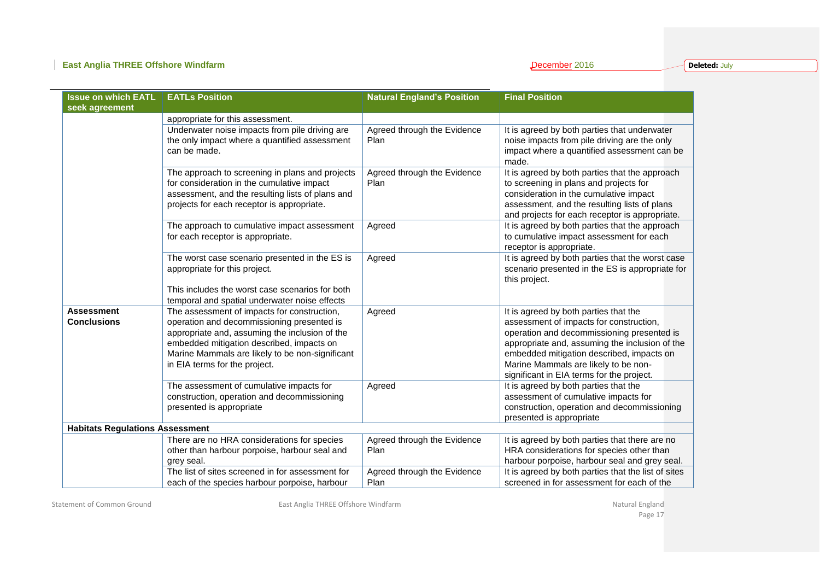**Deleted:** July

| <b>Issue on which EATL</b>              | <b>EATLs Position</b>                                                                                                                                                                                                                                                        | <b>Natural England's Position</b>   | <b>Final Position</b>                                                                                                                                                                                                                                                                                              |
|-----------------------------------------|------------------------------------------------------------------------------------------------------------------------------------------------------------------------------------------------------------------------------------------------------------------------------|-------------------------------------|--------------------------------------------------------------------------------------------------------------------------------------------------------------------------------------------------------------------------------------------------------------------------------------------------------------------|
| seek agreement                          |                                                                                                                                                                                                                                                                              |                                     |                                                                                                                                                                                                                                                                                                                    |
|                                         | appropriate for this assessment.                                                                                                                                                                                                                                             |                                     |                                                                                                                                                                                                                                                                                                                    |
|                                         | Underwater noise impacts from pile driving are<br>the only impact where a quantified assessment<br>can be made.                                                                                                                                                              | Agreed through the Evidence<br>Plan | It is agreed by both parties that underwater<br>noise impacts from pile driving are the only<br>impact where a quantified assessment can be<br>made.                                                                                                                                                               |
|                                         | The approach to screening in plans and projects<br>for consideration in the cumulative impact<br>assessment, and the resulting lists of plans and<br>projects for each receptor is appropriate.                                                                              | Agreed through the Evidence<br>Plan | It is agreed by both parties that the approach<br>to screening in plans and projects for<br>consideration in the cumulative impact<br>assessment, and the resulting lists of plans<br>and projects for each receptor is appropriate.                                                                               |
|                                         | The approach to cumulative impact assessment<br>for each receptor is appropriate.                                                                                                                                                                                            | Agreed                              | It is agreed by both parties that the approach<br>to cumulative impact assessment for each<br>receptor is appropriate.                                                                                                                                                                                             |
|                                         | The worst case scenario presented in the ES is<br>appropriate for this project.<br>This includes the worst case scenarios for both                                                                                                                                           | Agreed                              | It is agreed by both parties that the worst case<br>scenario presented in the ES is appropriate for<br>this project.                                                                                                                                                                                               |
|                                         | temporal and spatial underwater noise effects                                                                                                                                                                                                                                |                                     |                                                                                                                                                                                                                                                                                                                    |
| <b>Assessment</b><br><b>Conclusions</b> | The assessment of impacts for construction,<br>operation and decommissioning presented is<br>appropriate and, assuming the inclusion of the<br>embedded mitigation described, impacts on<br>Marine Mammals are likely to be non-significant<br>in EIA terms for the project. | Agreed                              | It is agreed by both parties that the<br>assessment of impacts for construction,<br>operation and decommissioning presented is<br>appropriate and, assuming the inclusion of the<br>embedded mitigation described, impacts on<br>Marine Mammals are likely to be non-<br>significant in EIA terms for the project. |
|                                         | The assessment of cumulative impacts for<br>construction, operation and decommissioning<br>presented is appropriate                                                                                                                                                          | Agreed                              | It is agreed by both parties that the<br>assessment of cumulative impacts for<br>construction, operation and decommissioning<br>presented is appropriate                                                                                                                                                           |
| <b>Habitats Regulations Assessment</b>  |                                                                                                                                                                                                                                                                              |                                     |                                                                                                                                                                                                                                                                                                                    |
|                                         | There are no HRA considerations for species<br>other than harbour porpoise, harbour seal and<br>grey seal.                                                                                                                                                                   | Agreed through the Evidence<br>Plan | It is agreed by both parties that there are no<br>HRA considerations for species other than<br>harbour porpoise, harbour seal and grey seal.                                                                                                                                                                       |
|                                         | The list of sites screened in for assessment for<br>each of the species harbour porpoise, harbour                                                                                                                                                                            | Agreed through the Evidence<br>Plan | It is agreed by both parties that the list of sites<br>screened in for assessment for each of the                                                                                                                                                                                                                  |

Statement of Common Ground **East Anglia THREE Offshore Windfarm** Changes and The Common Ground England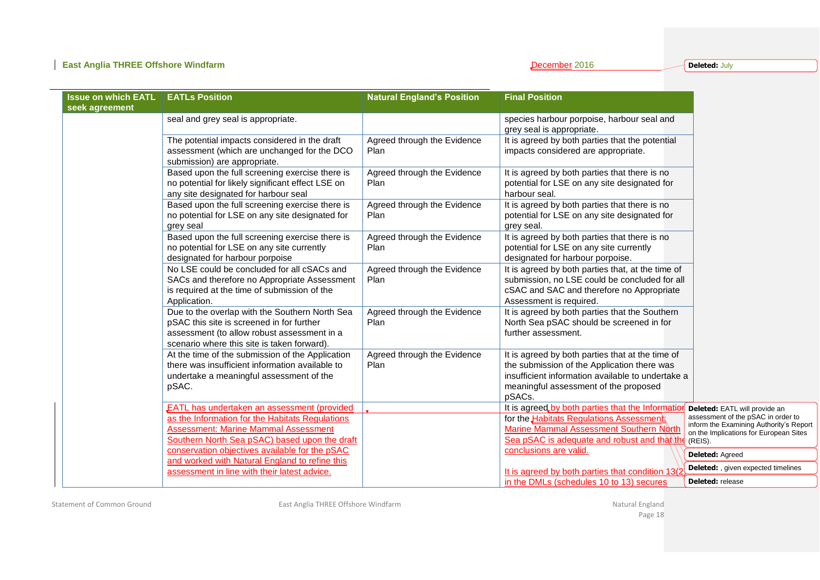**Deleted:** July

| <b>Issue on which EATL</b><br>seek agreement | <b>EATLs Position</b>                                                                                                                                                                                 | <b>Natural England's Position</b>   | <b>Final Position</b>                                                                                                                                                                                   |                                                                                                                                                                     |
|----------------------------------------------|-------------------------------------------------------------------------------------------------------------------------------------------------------------------------------------------------------|-------------------------------------|---------------------------------------------------------------------------------------------------------------------------------------------------------------------------------------------------------|---------------------------------------------------------------------------------------------------------------------------------------------------------------------|
|                                              | seal and grey seal is appropriate.                                                                                                                                                                    |                                     | species harbour porpoise, harbour seal and<br>grey seal is appropriate.                                                                                                                                 |                                                                                                                                                                     |
|                                              | The potential impacts considered in the draft<br>assessment (which are unchanged for the DCO<br>submission) are appropriate.                                                                          | Agreed through the Evidence<br>Plan | It is agreed by both parties that the potential<br>impacts considered are appropriate.                                                                                                                  |                                                                                                                                                                     |
|                                              | Based upon the full screening exercise there is<br>no potential for likely significant effect LSE on<br>any site designated for harbour seal                                                          | Agreed through the Evidence<br>Plan | It is agreed by both parties that there is no<br>potential for LSE on any site designated for<br>harbour seal.                                                                                          |                                                                                                                                                                     |
|                                              | Based upon the full screening exercise there is<br>no potential for LSE on any site designated for<br>grey seal                                                                                       | Agreed through the Evidence<br>Plan | It is agreed by both parties that there is no<br>potential for LSE on any site designated for<br>grey seal.                                                                                             |                                                                                                                                                                     |
|                                              | Based upon the full screening exercise there is<br>no potential for LSE on any site currently<br>designated for harbour porpoise                                                                      | Agreed through the Evidence<br>Plan | It is agreed by both parties that there is no<br>potential for LSE on any site currently<br>designated for harbour porpoise.                                                                            |                                                                                                                                                                     |
|                                              | No LSE could be concluded for all cSACs and<br>SACs and therefore no Appropriate Assessment<br>is required at the time of submission of the<br>Application.                                           | Agreed through the Evidence<br>Plan | It is agreed by both parties that, at the time of<br>submission, no LSE could be concluded for all<br>cSAC and SAC and therefore no Appropriate<br>Assessment is required.                              |                                                                                                                                                                     |
|                                              | Due to the overlap with the Southern North Sea<br>pSAC this site is screened in for further<br>assessment (to allow robust assessment in a<br>scenario where this site is taken forward).             | Agreed through the Evidence<br>Plan | It is agreed by both parties that the Southern<br>North Sea pSAC should be screened in for<br>further assessment.                                                                                       |                                                                                                                                                                     |
|                                              | At the time of the submission of the Application<br>there was insufficient information available to<br>undertake a meaningful assessment of the<br>pSAC.                                              | Agreed through the Evidence<br>Plan | It is agreed by both parties that at the time of<br>the submission of the Application there was<br>insufficient information available to undertake a<br>meaningful assessment of the proposed<br>pSACs. |                                                                                                                                                                     |
|                                              | <b>EATL has undertaken an assessment (provided</b><br>as the Information for the Habitats Regulations<br><b>Assessment: Marine Mammal Assessment</b><br>Southern North Sea pSAC) based upon the draft |                                     | It is agreed by both parties that the Information<br>for the Habitats Regulations Assessments<br>Marine Mammal Assessment Southern North<br>Sea pSAC is adequate and robust and that the                | Deleted: EATL will provide an<br>assessment of the pSAC in order to<br>inform the Examining Authority's Report<br>on the Implications for European Sites<br>(REIS). |
|                                              | conservation objectives available for the pSAC                                                                                                                                                        |                                     | conclusions are valid.                                                                                                                                                                                  | Deleted: Agreed                                                                                                                                                     |
|                                              | and worked with Natural England to refine this<br>assessment in line with their latest advice.                                                                                                        |                                     | It is agreed by both parties that condition 13(2)                                                                                                                                                       | <b>Deleted:</b> , given expected timelines                                                                                                                          |
|                                              |                                                                                                                                                                                                       |                                     | in the DMLs (schedules 10 to 13) secures                                                                                                                                                                | <b>Deleted:</b> release                                                                                                                                             |

Statement of Common Ground **East Anglia THREE Offshore Windfarm** Changes and The Common Statement of Common Ground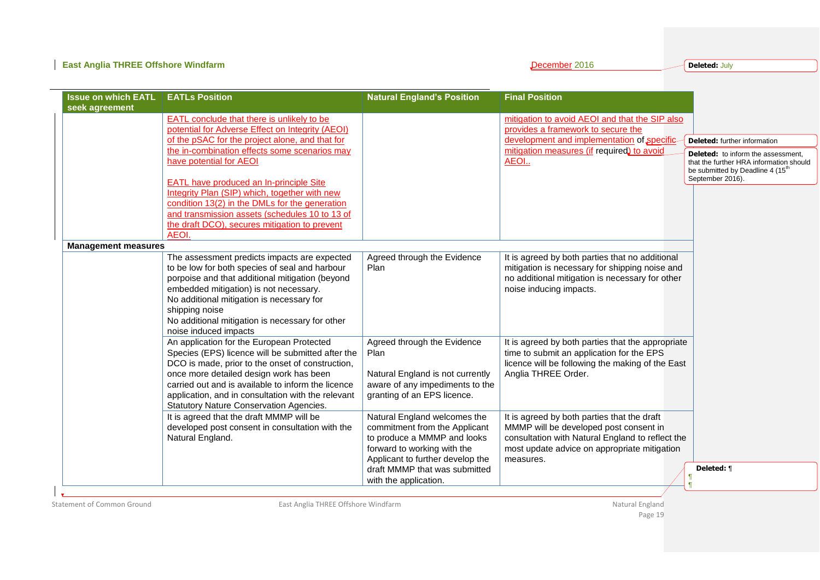| <b>East Anglia THREE Offshore Windfarm</b>   |                                                                                                                                                                                                                                                                                                                                                      |                                                                                                                                                                                                                           | December 2016                                                                                                                                                                                          | <b>Deleted: July</b>                                                                                                                                                                              |
|----------------------------------------------|------------------------------------------------------------------------------------------------------------------------------------------------------------------------------------------------------------------------------------------------------------------------------------------------------------------------------------------------------|---------------------------------------------------------------------------------------------------------------------------------------------------------------------------------------------------------------------------|--------------------------------------------------------------------------------------------------------------------------------------------------------------------------------------------------------|---------------------------------------------------------------------------------------------------------------------------------------------------------------------------------------------------|
| <b>Issue on which EATL</b><br>seek agreement | <b>EATLs Position</b>                                                                                                                                                                                                                                                                                                                                | <b>Natural England's Position</b>                                                                                                                                                                                         | <b>Final Position</b>                                                                                                                                                                                  |                                                                                                                                                                                                   |
|                                              | <b>EATL</b> conclude that there is unlikely to be<br>potential for Adverse Effect on Integrity (AEOI)<br>of the pSAC for the project alone, and that for<br>the in-combination effects some scenarios may<br>have potential for AEOI<br><b>EATL have produced an In-principle Site</b>                                                               |                                                                                                                                                                                                                           | mitigation to avoid AEOI and that the SIP also<br>provides a framework to secure the<br>development and implementation of specific-<br>mitigation measures (if required) to avoid<br>AEOI              | <b>Deleted:</b> further information<br><b>Deleted:</b> to inform the assessment,<br>that the further HRA information should<br>be submitted by Deadline 4 (15 <sup>th</sup> )<br>September 2016). |
|                                              | Integrity Plan (SIP) which, together with new<br>condition 13(2) in the DMLs for the generation<br>and transmission assets (schedules 10 to 13 of<br>the draft DCO), secures mitigation to prevent<br>AEOI.                                                                                                                                          |                                                                                                                                                                                                                           |                                                                                                                                                                                                        |                                                                                                                                                                                                   |
| <b>Management measures</b>                   | The assessment predicts impacts are expected<br>to be low for both species of seal and harbour<br>porpoise and that additional mitigation (beyond<br>embedded mitigation) is not necessary.<br>No additional mitigation is necessary for<br>shipping noise<br>No additional mitigation is necessary for other<br>noise induced impacts               | Agreed through the Evidence<br>Plan                                                                                                                                                                                       | It is agreed by both parties that no additional<br>mitigation is necessary for shipping noise and<br>no additional mitigation is necessary for other<br>noise inducing impacts.                        |                                                                                                                                                                                                   |
|                                              | An application for the European Protected<br>Species (EPS) licence will be submitted after the<br>DCO is made, prior to the onset of construction,<br>once more detailed design work has been<br>carried out and is available to inform the licence<br>application, and in consultation with the relevant<br>Statutory Nature Conservation Agencies. | Agreed through the Evidence<br>Plan<br>Natural England is not currently<br>aware of any impediments to the<br>granting of an EPS licence.                                                                                 | It is agreed by both parties that the appropriate<br>time to submit an application for the EPS<br>licence will be following the making of the East<br>Anglia THREE Order.                              |                                                                                                                                                                                                   |
|                                              | It is agreed that the draft MMMP will be<br>developed post consent in consultation with the<br>Natural England.                                                                                                                                                                                                                                      | Natural England welcomes the<br>commitment from the Applicant<br>to produce a MMMP and looks<br>forward to working with the<br>Applicant to further develop the<br>draft MMMP that was submitted<br>with the application. | It is agreed by both parties that the draft<br>MMMP will be developed post consent in<br>consultation with Natural England to reflect the<br>most update advice on appropriate mitigation<br>measures. | Deleted: ¶                                                                                                                                                                                        |

Statement of Common Ground **East Anglia THREE Offshore Windfarm** Statement of Common Ground England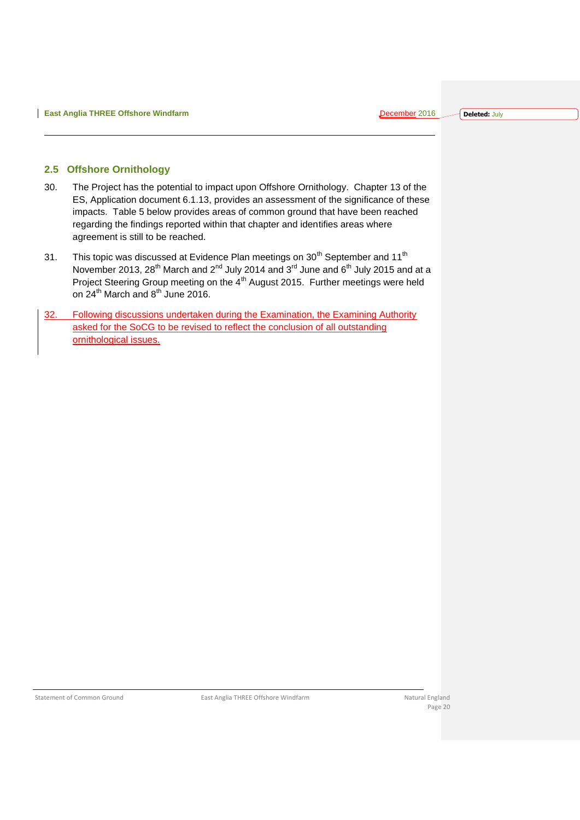#### <span id="page-20-0"></span>**2.5 Offshore Ornithology**

- 30. The Project has the potential to impact upon Offshore Ornithology. Chapter 13 of the ES, Application document 6.1.13, provides an assessment of the significance of these impacts. Table 5 below provides areas of common ground that have been reached regarding the findings reported within that chapter and identifies areas where agreement is still to be reached.
- 31. This topic was discussed at Evidence Plan meetings on  $30<sup>th</sup>$  September and  $11<sup>th</sup>$ November 2013, 28<sup>th</sup> March and 2<sup>nd</sup> July 2014 and 3<sup>rd</sup> June and 6<sup>th</sup> July 2015 and at a Project Steering Group meeting on the 4<sup>th</sup> August 2015. Further meetings were held on  $24<sup>th</sup>$  March and  $8<sup>th</sup>$  June 2016.
- 32. Following discussions undertaken during the Examination, the Examining Authority asked for the SoCG to be revised to reflect the conclusion of all outstanding ornithological issues.

Statement of Common Ground **East Anglia THREE Offshore Windfarm** Natural England Natural England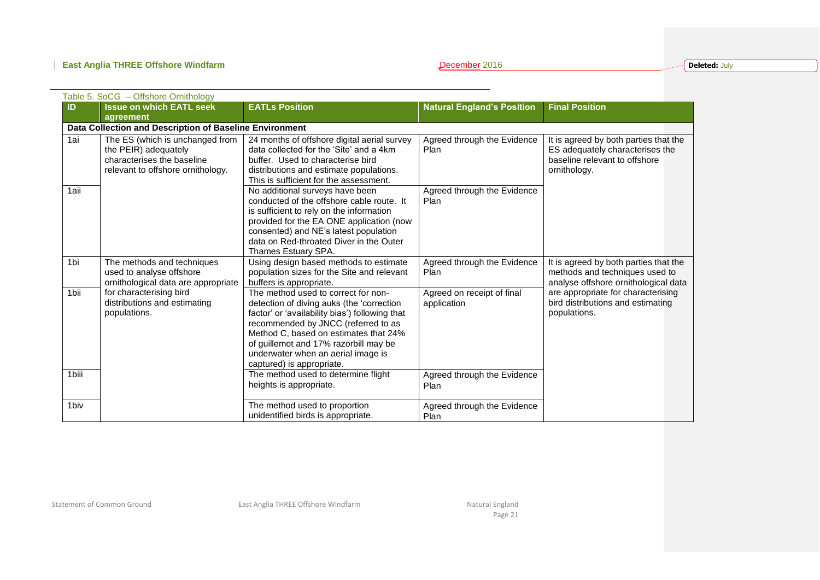**Deleted:** July

|                  | Table 5. SoCG - Offshore Ornithology                                                                                       |                                                                                                                                                                                                                                                                                                                                |                                           |                                                                                                                           |  |  |  |
|------------------|----------------------------------------------------------------------------------------------------------------------------|--------------------------------------------------------------------------------------------------------------------------------------------------------------------------------------------------------------------------------------------------------------------------------------------------------------------------------|-------------------------------------------|---------------------------------------------------------------------------------------------------------------------------|--|--|--|
| ID               | <b>Issue on which EATL seek</b>                                                                                            | <b>EATLs Position</b>                                                                                                                                                                                                                                                                                                          | <b>Natural England's Position</b>         | <b>Final Position</b>                                                                                                     |  |  |  |
|                  | agreement                                                                                                                  |                                                                                                                                                                                                                                                                                                                                |                                           |                                                                                                                           |  |  |  |
|                  | Data Collection and Description of Baseline Environment                                                                    |                                                                                                                                                                                                                                                                                                                                |                                           |                                                                                                                           |  |  |  |
| 1ai              | The ES (which is unchanged from<br>the PEIR) adequately<br>characterises the baseline<br>relevant to offshore ornithology. | 24 months of offshore digital aerial survey<br>data collected for the 'Site' and a 4km<br>buffer. Used to characterise bird<br>distributions and estimate populations.<br>This is sufficient for the assessment.                                                                                                               | Agreed through the Evidence<br>Plan       | It is agreed by both parties that the<br>ES adequately characterises the<br>baseline relevant to offshore<br>ornithology. |  |  |  |
| 1aii             |                                                                                                                            | No additional surveys have been<br>conducted of the offshore cable route. It<br>is sufficient to rely on the information<br>provided for the EA ONE application (now<br>consented) and NE's latest population<br>data on Red-throated Diver in the Outer<br>Thames Estuary SPA.                                                | Agreed through the Evidence<br>Plan       |                                                                                                                           |  |  |  |
| 1bi              | The methods and techniques<br>used to analyse offshore<br>ornithological data are appropriate                              | Using design based methods to estimate<br>population sizes for the Site and relevant<br>buffers is appropriate.                                                                                                                                                                                                                | Agreed through the Evidence<br>Plan       | It is agreed by both parties that the<br>methods and techniques used to<br>analyse offshore ornithological data           |  |  |  |
| 1bii             | for characterising bird<br>distributions and estimating<br>populations.                                                    | The method used to correct for non-<br>detection of diving auks (the 'correction<br>factor' or 'availability bias') following that<br>recommended by JNCC (referred to as<br>Method C, based on estimates that 24%<br>of guillemot and 17% razorbill may be<br>underwater when an aerial image is<br>captured) is appropriate. | Agreed on receipt of final<br>application | are appropriate for characterising<br>bird distributions and estimating<br>populations.                                   |  |  |  |
| 1biii            |                                                                                                                            | The method used to determine flight<br>heights is appropriate.                                                                                                                                                                                                                                                                 | Agreed through the Evidence<br>Plan       |                                                                                                                           |  |  |  |
| 1 <sub>biv</sub> |                                                                                                                            | The method used to proportion<br>unidentified birds is appropriate.                                                                                                                                                                                                                                                            | Agreed through the Evidence<br>Plan       |                                                                                                                           |  |  |  |

Statement of Common Ground **East Anglia THREE Offshore Windfarm** Natural England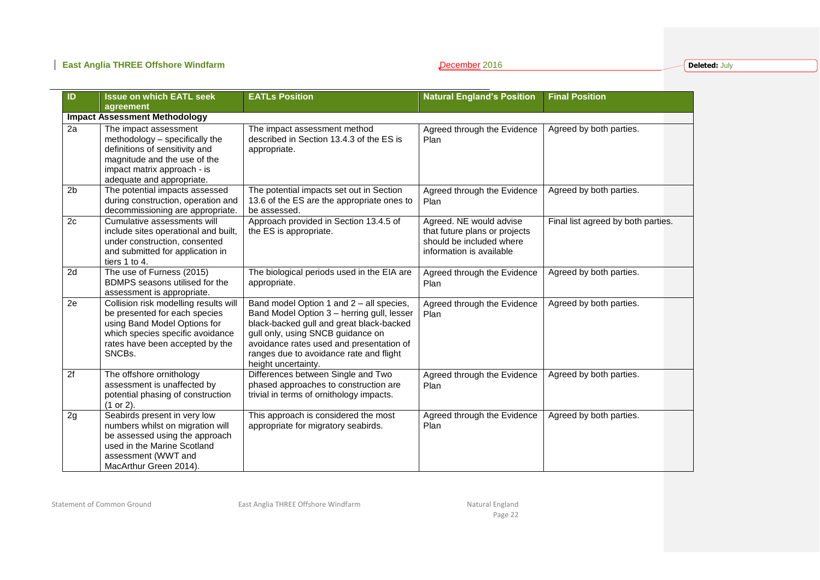**Deleted:** July

| ID             | <b>Issue on which EATL seek</b><br>agreement                                                                                                                                            | <b>EATLs Position</b>                                                                                                                                                                                                                                                                 | <b>Natural England's Position</b>                                                                                | <b>Final Position</b>              |
|----------------|-----------------------------------------------------------------------------------------------------------------------------------------------------------------------------------------|---------------------------------------------------------------------------------------------------------------------------------------------------------------------------------------------------------------------------------------------------------------------------------------|------------------------------------------------------------------------------------------------------------------|------------------------------------|
|                | <b>Impact Assessment Methodology</b>                                                                                                                                                    |                                                                                                                                                                                                                                                                                       |                                                                                                                  |                                    |
| 2a             | The impact assessment<br>methodology - specifically the<br>definitions of sensitivity and<br>magnitude and the use of the<br>impact matrix approach - is<br>adequate and appropriate.   | The impact assessment method<br>described in Section 13.4.3 of the ES is<br>appropriate.                                                                                                                                                                                              | Agreed through the Evidence<br>Plan                                                                              | Agreed by both parties.            |
| 2 <sub>b</sub> | The potential impacts assessed<br>during construction, operation and<br>decommissioning are appropriate.                                                                                | The potential impacts set out in Section<br>13.6 of the ES are the appropriate ones to<br>be assessed.                                                                                                                                                                                | Agreed through the Evidence<br>Plan                                                                              | Agreed by both parties.            |
| 2c             | Cumulative assessments will<br>include sites operational and built,<br>under construction, consented<br>and submitted for application in<br>tiers 1 to 4.                               | Approach provided in Section 13.4.5 of<br>the ES is appropriate.                                                                                                                                                                                                                      | Agreed. NE would advise<br>that future plans or projects<br>should be included where<br>information is available | Final list agreed by both parties. |
| 2d             | The use of Furness (2015)<br>BDMPS seasons utilised for the<br>assessment is appropriate.                                                                                               | The biological periods used in the EIA are<br>appropriate.                                                                                                                                                                                                                            | Agreed through the Evidence<br>Plan                                                                              | Agreed by both parties.            |
| 2e             | Collision risk modelling results will<br>be presented for each species<br>using Band Model Options for<br>which species specific avoidance<br>rates have been accepted by the<br>SNCBs. | Band model Option 1 and 2 - all species,<br>Band Model Option 3 - herring gull, lesser<br>black-backed gull and great black-backed<br>gull only, using SNCB guidance on<br>avoidance rates used and presentation of<br>ranges due to avoidance rate and flight<br>height uncertainty. | Agreed through the Evidence<br>Plan                                                                              | Agreed by both parties.            |
| 2f             | The offshore ornithology<br>assessment is unaffected by<br>potential phasing of construction<br>$(1 or 2)$ .                                                                            | Differences between Single and Two<br>phased approaches to construction are<br>trivial in terms of ornithology impacts.                                                                                                                                                               | Agreed through the Evidence<br>Plan                                                                              | Agreed by both parties.            |
| 2g             | Seabirds present in very low<br>numbers whilst on migration will<br>be assessed using the approach<br>used in the Marine Scotland<br>assessment (WWT and<br>MacArthur Green 2014).      | This approach is considered the most<br>appropriate for migratory seabirds.                                                                                                                                                                                                           | Agreed through the Evidence<br>Plan                                                                              | Agreed by both parties.            |

Statement of Common Ground **East Anglia THREE Offshore Windfarm** Natural England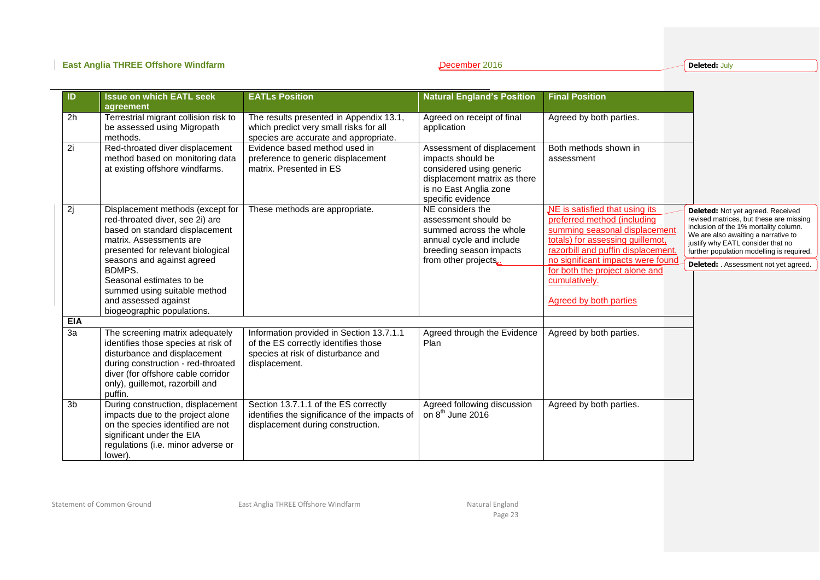**Deleted:** July

| ID         | <b>Issue on which EATL seek</b><br>agreement                                                                                                                                                                                                                                                                                    | <b>EATLs Position</b>                                                                                                                   | <b>Natural England's Position</b>                                                                                                                          | <b>Final Position</b>                                                                                                                                                                                                                                                                             |                                                                                                                                                                                                                                                                                       |
|------------|---------------------------------------------------------------------------------------------------------------------------------------------------------------------------------------------------------------------------------------------------------------------------------------------------------------------------------|-----------------------------------------------------------------------------------------------------------------------------------------|------------------------------------------------------------------------------------------------------------------------------------------------------------|---------------------------------------------------------------------------------------------------------------------------------------------------------------------------------------------------------------------------------------------------------------------------------------------------|---------------------------------------------------------------------------------------------------------------------------------------------------------------------------------------------------------------------------------------------------------------------------------------|
| 2h         | Terrestrial migrant collision risk to<br>be assessed using Migropath<br>methods.                                                                                                                                                                                                                                                | The results presented in Appendix 13.1,<br>which predict very small risks for all<br>species are accurate and appropriate.              | Agreed on receipt of final<br>application                                                                                                                  | Agreed by both parties.                                                                                                                                                                                                                                                                           |                                                                                                                                                                                                                                                                                       |
| 2i         | Red-throated diver displacement<br>method based on monitoring data<br>at existing offshore windfarms.                                                                                                                                                                                                                           | Evidence based method used in<br>preference to generic displacement<br>matrix. Presented in ES                                          | Assessment of displacement<br>impacts should be<br>considered using generic<br>displacement matrix as there<br>is no East Anglia zone<br>specific evidence | Both methods shown in<br>assessment                                                                                                                                                                                                                                                               |                                                                                                                                                                                                                                                                                       |
| 2j         | Displacement methods (except for<br>red-throated diver, see 2i) are<br>based on standard displacement<br>matrix. Assessments are<br>presented for relevant biological<br>seasons and against agreed<br>BDMPS.<br>Seasonal estimates to be<br>summed using suitable method<br>and assessed against<br>biogeographic populations. | These methods are appropriate.                                                                                                          | NE considers the<br>assessment should be<br>summed across the whole<br>annual cycle and include<br>breeding season impacts<br>from other projects.         | NE is satisfied that using its<br>preferred method (including<br>summing seasonal displacement<br>totals) for assessing guillemot,<br>razorbill and puffin displacement,<br>no significant impacts were found<br>for both the project alone and<br>cumulatively.<br><b>Agreed by both parties</b> | Deleted: Not yet agreed. Received<br>revised matrices, but these are missing<br>inclusion of the 1% mortality column.<br>We are also awaiting a narrative to<br>justify why EATL consider that no<br>further population modelling is required.<br>Deleted: Assessment not yet agreed. |
| <b>EIA</b> |                                                                                                                                                                                                                                                                                                                                 |                                                                                                                                         |                                                                                                                                                            |                                                                                                                                                                                                                                                                                                   |                                                                                                                                                                                                                                                                                       |
| 3a         | The screening matrix adequately<br>identifies those species at risk of<br>disturbance and displacement<br>during construction - red-throated<br>diver (for offshore cable corridor<br>only), guillemot, razorbill and<br>puffin.                                                                                                | Information provided in Section 13.7.1.1<br>of the ES correctly identifies those<br>species at risk of disturbance and<br>displacement. | Agreed through the Evidence<br>Plan                                                                                                                        | Agreed by both parties.                                                                                                                                                                                                                                                                           |                                                                                                                                                                                                                                                                                       |
| 3b         | During construction, displacement<br>impacts due to the project alone<br>on the species identified are not<br>significant under the EIA<br>regulations (i.e. minor adverse or<br>lower).                                                                                                                                        | Section 13.7.1.1 of the ES correctly<br>identifies the significance of the impacts of<br>displacement during construction.              | Agreed following discussion<br>on 8 <sup>th</sup> June 2016                                                                                                | Agreed by both parties.                                                                                                                                                                                                                                                                           |                                                                                                                                                                                                                                                                                       |

Statement of Common Ground **East Anglia THREE Offshore Windfarm** Natural England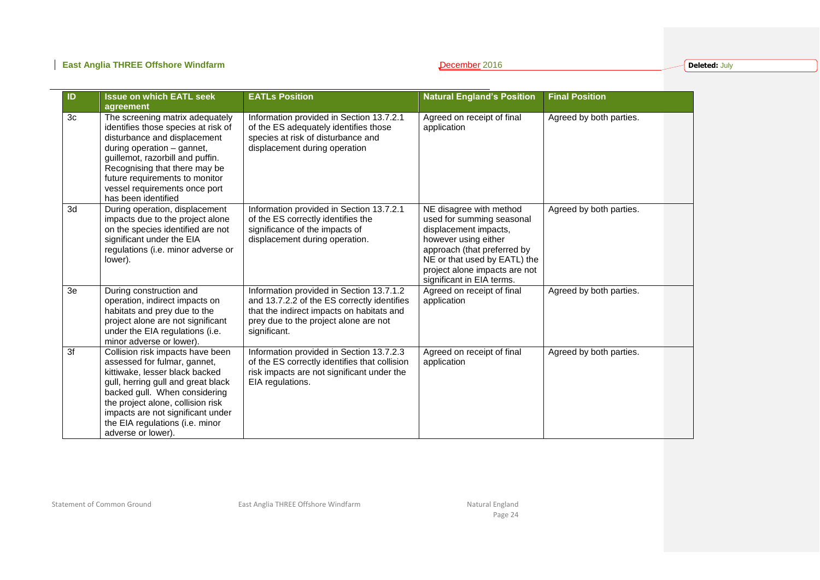### **East Anglia THREE Offshore Windfarm December 2016 December 2016**

**Deleted:** July

| ID | <b>Issue on which EATL seek</b><br>agreement                                                                                                                                                                                                                                                                 | <b>EATLs Position</b>                                                                                                                                                                         | <b>Natural England's Position</b>                                                                                                                                                                                                  | <b>Final Position</b>   |
|----|--------------------------------------------------------------------------------------------------------------------------------------------------------------------------------------------------------------------------------------------------------------------------------------------------------------|-----------------------------------------------------------------------------------------------------------------------------------------------------------------------------------------------|------------------------------------------------------------------------------------------------------------------------------------------------------------------------------------------------------------------------------------|-------------------------|
| 3c | The screening matrix adequately<br>identifies those species at risk of<br>disturbance and displacement<br>during operation - gannet,<br>guillemot, razorbill and puffin.<br>Recognising that there may be<br>future requirements to monitor<br>vessel requirements once port<br>has been identified          | Information provided in Section 13.7.2.1<br>of the ES adequately identifies those<br>species at risk of disturbance and<br>displacement during operation                                      | Agreed on receipt of final<br>application                                                                                                                                                                                          | Agreed by both parties. |
| 3d | During operation, displacement<br>impacts due to the project alone<br>on the species identified are not<br>significant under the EIA<br>regulations (i.e. minor adverse or<br>lower).                                                                                                                        | Information provided in Section 13.7.2.1<br>of the ES correctly identifies the<br>significance of the impacts of<br>displacement during operation.                                            | NE disagree with method<br>used for summing seasonal<br>displacement impacts,<br>however using either<br>approach (that preferred by<br>NE or that used by EATL) the<br>project alone impacts are not<br>significant in EIA terms. | Agreed by both parties. |
| 3e | During construction and<br>operation, indirect impacts on<br>habitats and prey due to the<br>project alone are not significant<br>under the EIA regulations (i.e.<br>minor adverse or lower).                                                                                                                | Information provided in Section 13.7.1.2<br>and 13.7.2.2 of the ES correctly identifies<br>that the indirect impacts on habitats and<br>prey due to the project alone are not<br>significant. | Agreed on receipt of final<br>application                                                                                                                                                                                          | Agreed by both parties. |
| 3f | Collision risk impacts have been<br>assessed for fulmar, gannet,<br>kittiwake, lesser black backed<br>gull, herring gull and great black<br>backed gull. When considering<br>the project alone, collision risk<br>impacts are not significant under<br>the EIA regulations (i.e. minor<br>adverse or lower). | Information provided in Section 13.7.2.3<br>of the ES correctly identifies that collision<br>risk impacts are not significant under the<br>EIA regulations.                                   | Agreed on receipt of final<br>application                                                                                                                                                                                          | Agreed by both parties. |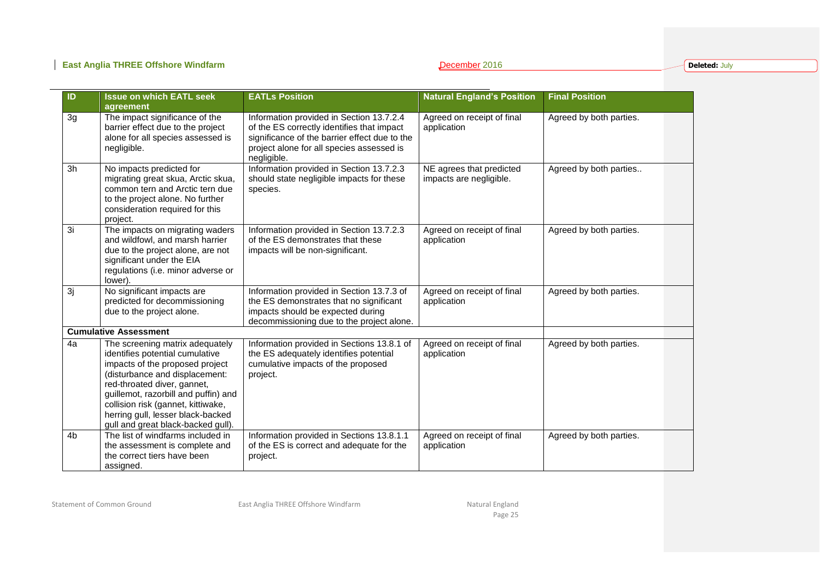**Deleted:** July

| ID             | <b>Issue on which EATL seek</b><br>agreement                                                                                                                                                                                                                                                                                    | <b>EATLs Position</b>                                                                                                                                                                               | <b>Natural England's Position</b>                   | <b>Final Position</b>   |
|----------------|---------------------------------------------------------------------------------------------------------------------------------------------------------------------------------------------------------------------------------------------------------------------------------------------------------------------------------|-----------------------------------------------------------------------------------------------------------------------------------------------------------------------------------------------------|-----------------------------------------------------|-------------------------|
| 3g             | The impact significance of the<br>barrier effect due to the project<br>alone for all species assessed is<br>negligible.                                                                                                                                                                                                         | Information provided in Section 13.7.2.4<br>of the ES correctly identifies that impact<br>significance of the barrier effect due to the<br>project alone for all species assessed is<br>negligible. | Agreed on receipt of final<br>application           | Agreed by both parties. |
| 3h             | No impacts predicted for<br>migrating great skua, Arctic skua,<br>common tern and Arctic tern due<br>to the project alone. No further<br>consideration required for this<br>project.                                                                                                                                            | Information provided in Section 13.7.2.3<br>should state negligible impacts for these<br>species.                                                                                                   | NE agrees that predicted<br>impacts are negligible. | Agreed by both parties  |
| 3i             | The impacts on migrating waders<br>and wildfowl, and marsh harrier<br>due to the project alone, are not<br>significant under the EIA<br>regulations (i.e. minor adverse or<br>lower).                                                                                                                                           | Information provided in Section 13.7.2.3<br>of the ES demonstrates that these<br>impacts will be non-significant.                                                                                   | Agreed on receipt of final<br>application           | Agreed by both parties. |
| 3j             | No significant impacts are<br>predicted for decommissioning<br>due to the project alone.                                                                                                                                                                                                                                        | Information provided in Section 13.7.3 of<br>the ES demonstrates that no significant<br>impacts should be expected during<br>decommissioning due to the project alone.                              | Agreed on receipt of final<br>application           | Agreed by both parties. |
|                | <b>Cumulative Assessment</b>                                                                                                                                                                                                                                                                                                    |                                                                                                                                                                                                     |                                                     |                         |
| 4a             | The screening matrix adequately<br>identifies potential cumulative<br>impacts of the proposed project<br>(disturbance and displacement:<br>red-throated diver, gannet,<br>guillemot, razorbill and puffin) and<br>collision risk (gannet, kittiwake,<br>herring gull, lesser black-backed<br>gull and great black-backed gull). | Information provided in Sections 13.8.1 of<br>the ES adequately identifies potential<br>cumulative impacts of the proposed<br>project.                                                              | Agreed on receipt of final<br>application           | Agreed by both parties. |
| 4 <sub>b</sub> | The list of windfarms included in<br>the assessment is complete and<br>the correct tiers have been<br>assigned.                                                                                                                                                                                                                 | Information provided in Sections 13.8.1.1<br>of the ES is correct and adequate for the<br>project.                                                                                                  | Agreed on receipt of final<br>application           | Agreed by both parties. |

Statement of Common Ground **East Anglia THREE Offshore Windfarm** Natural England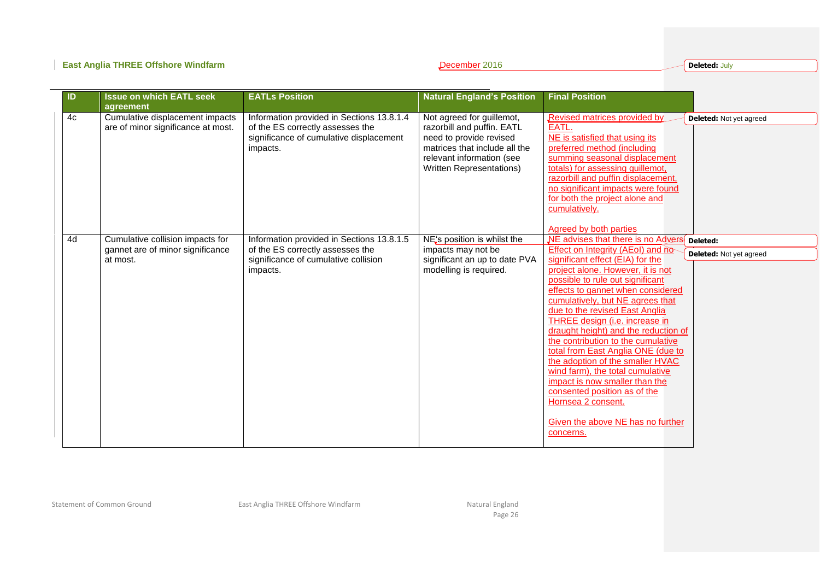**Deleted:** July

| ID | <b>Issue on which EATL seek</b><br>agreement                                     | <b>EATLs Position</b>                                                                                                                | <b>Natural England's Position</b>                                                                                                                                            | <b>Final Position</b>                                                                                                                                                                                                                                                                                                                                                                                                                                                                                                                                                                                                                                                                                                  |
|----|----------------------------------------------------------------------------------|--------------------------------------------------------------------------------------------------------------------------------------|------------------------------------------------------------------------------------------------------------------------------------------------------------------------------|------------------------------------------------------------------------------------------------------------------------------------------------------------------------------------------------------------------------------------------------------------------------------------------------------------------------------------------------------------------------------------------------------------------------------------------------------------------------------------------------------------------------------------------------------------------------------------------------------------------------------------------------------------------------------------------------------------------------|
| 4c | Cumulative displacement impacts<br>are of minor significance at most.            | Information provided in Sections 13.8.1.4<br>of the ES correctly assesses the<br>significance of cumulative displacement<br>impacts. | Not agreed for guillemot,<br>razorbill and puffin. EATL<br>need to provide revised<br>matrices that include all the<br>relevant information (see<br>Written Representations) | <b>Revised matrices provided by</b><br><b>Deleted:</b> Not yet agreed<br>EATL.<br>NE is satisfied that using its<br>preferred method (including<br>summing seasonal displacement<br>totals) for assessing guillemot,<br>razorbill and puffin displacement,<br>no significant impacts were found<br>for both the project alone and<br>cumulatively.<br><b>Agreed by both parties</b>                                                                                                                                                                                                                                                                                                                                    |
| 4d | Cumulative collision impacts for<br>gannet are of minor significance<br>at most. | Information provided in Sections 13.8.1.5<br>of the ES correctly assesses the<br>significance of cumulative collision<br>impacts.    | NE's position is whilst the<br>impacts may not be<br>significant an up to date PVA<br>modelling is required.                                                                 | NE advises that there is no Advers<br>Deleted:<br>Effect on Integrity (AEoI) and no-<br><b>Deleted:</b> Not yet agreed<br>significant effect (EIA) for the<br>project alone. However, it is not<br>possible to rule out significant<br>effects to gannet when considered<br>cumulatively, but NE agrees that<br>due to the revised East Anglia<br>THREE design (i.e. increase in<br>draught height) and the reduction of<br>the contribution to the cumulative<br>total from East Anglia ONE (due to<br>the adoption of the smaller HVAC<br>wind farm), the total cumulative<br>impact is now smaller than the<br>consented position as of the<br>Hornsea 2 consent.<br>Given the above NE has no further<br>concerns. |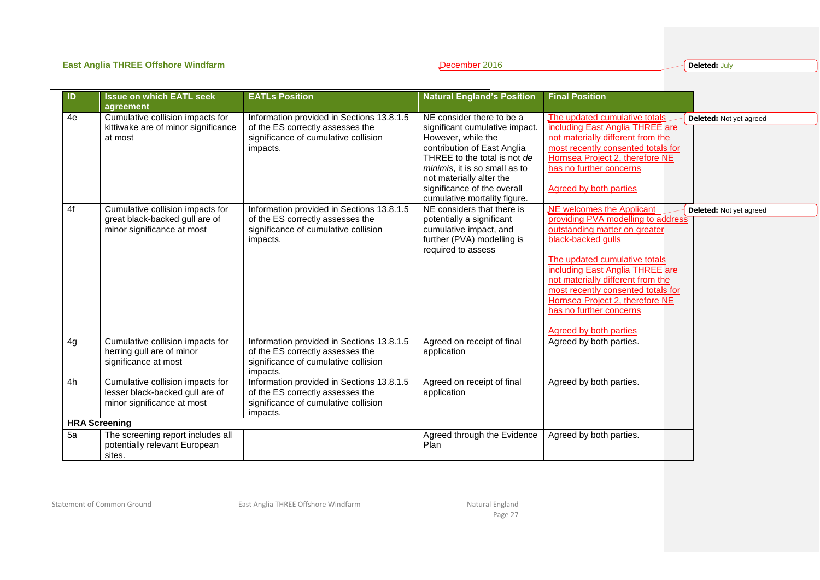### **East Anglia THREE Offshore Windfarm December 2016 December 2016**

**Deleted:** July

| ID | <b>Issue on which EATL seek</b>                                                                   | <b>EATLs Position</b>                                                                                                             | <b>Natural England's Position</b>                                                                                                                                                                                                                                            | <b>Final Position</b>                                                                                                                                                                                                                                                                                                                                                                           |
|----|---------------------------------------------------------------------------------------------------|-----------------------------------------------------------------------------------------------------------------------------------|------------------------------------------------------------------------------------------------------------------------------------------------------------------------------------------------------------------------------------------------------------------------------|-------------------------------------------------------------------------------------------------------------------------------------------------------------------------------------------------------------------------------------------------------------------------------------------------------------------------------------------------------------------------------------------------|
|    | agreement                                                                                         |                                                                                                                                   |                                                                                                                                                                                                                                                                              |                                                                                                                                                                                                                                                                                                                                                                                                 |
| 4e | Cumulative collision impacts for<br>kittiwake are of minor significance<br>at most                | Information provided in Sections 13.8.1.5<br>of the ES correctly assesses the<br>significance of cumulative collision<br>impacts. | NE consider there to be a<br>significant cumulative impact.<br>However, while the<br>contribution of East Anglia<br>THREE to the total is not de<br>minimis, it is so small as to<br>not materially alter the<br>significance of the overall<br>cumulative mortality figure. | The updated cumulative totals<br><b>Deleted:</b> Not yet agreed<br>including East Anglia THREE are<br>not materially different from the<br>most recently consented totals for<br>Hornsea Project 2, therefore NE<br>has no further concerns<br>Agreed by both parties                                                                                                                           |
| 4f | Cumulative collision impacts for<br>great black-backed gull are of<br>minor significance at most  | Information provided in Sections 13.8.1.5<br>of the ES correctly assesses the<br>significance of cumulative collision<br>impacts. | NE considers that there is<br>potentially a significant<br>cumulative impact, and<br>further (PVA) modelling is<br>required to assess                                                                                                                                        | NE welcomes the Applicant<br><b>Deleted:</b> Not yet agreed<br>providing PVA modelling to address<br>outstanding matter on greater<br>black-backed gulls<br>The updated cumulative totals<br>including East Anglia THREE are<br>not materially different from the<br>most recently consented totals for<br>Hornsea Project 2, therefore NE<br>has no further concerns<br>Agreed by both parties |
| 4g | Cumulative collision impacts for<br>herring gull are of minor<br>significance at most             | Information provided in Sections 13.8.1.5<br>of the ES correctly assesses the<br>significance of cumulative collision<br>impacts. | Agreed on receipt of final<br>application                                                                                                                                                                                                                                    | Agreed by both parties.                                                                                                                                                                                                                                                                                                                                                                         |
| 4h | Cumulative collision impacts for<br>lesser black-backed gull are of<br>minor significance at most | Information provided in Sections 13.8.1.5<br>of the ES correctly assesses the<br>significance of cumulative collision<br>impacts. | Agreed on receipt of final<br>application                                                                                                                                                                                                                                    | Agreed by both parties.                                                                                                                                                                                                                                                                                                                                                                         |
|    | <b>HRA Screening</b>                                                                              |                                                                                                                                   |                                                                                                                                                                                                                                                                              |                                                                                                                                                                                                                                                                                                                                                                                                 |
| 5a | The screening report includes all<br>potentially relevant European<br>sites.                      |                                                                                                                                   | Agreed through the Evidence<br>Plan                                                                                                                                                                                                                                          | Agreed by both parties.                                                                                                                                                                                                                                                                                                                                                                         |

Statement of Common Ground **East Anglia THREE Offshore Windfarm** Natural England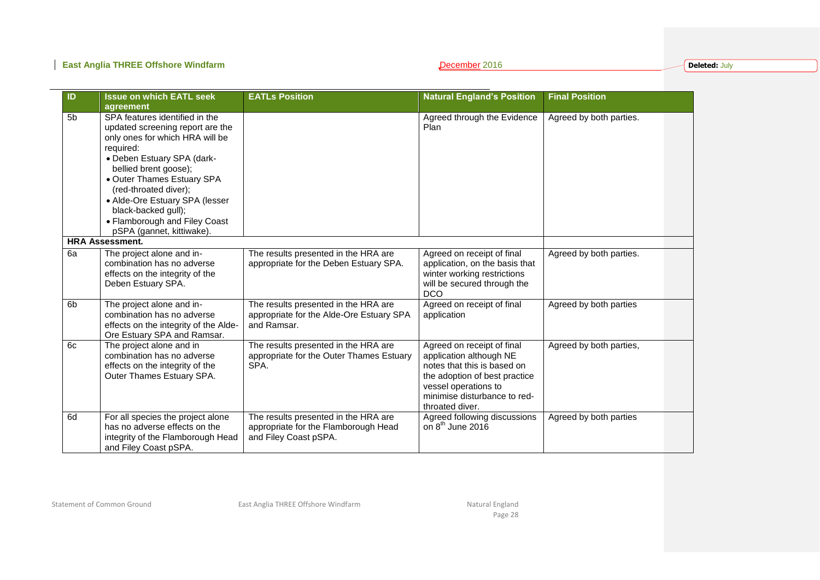### **East Anglia THREE Offshore Windfarm December 2016 December 2016**

**Deleted:** July

| $\overline{1}$ | <b>Issue on which EATL seek</b><br>agreement                                                                                                                                                                                                                                                                                                            | <b>EATLs Position</b>                                                                                 | <b>Natural England's Position</b>                                                                                                                                                                | <b>Final Position</b>   |
|----------------|---------------------------------------------------------------------------------------------------------------------------------------------------------------------------------------------------------------------------------------------------------------------------------------------------------------------------------------------------------|-------------------------------------------------------------------------------------------------------|--------------------------------------------------------------------------------------------------------------------------------------------------------------------------------------------------|-------------------------|
| 5 <sub>b</sub> | SPA features identified in the<br>updated screening report are the<br>only ones for which HRA will be<br>required:<br>· Deben Estuary SPA (dark-<br>bellied brent goose);<br>• Outer Thames Estuary SPA<br>(red-throated diver);<br>• Alde-Ore Estuary SPA (lesser<br>black-backed gull);<br>• Flamborough and Filey Coast<br>pSPA (gannet, kittiwake). |                                                                                                       | Agreed through the Evidence<br>Plan                                                                                                                                                              | Agreed by both parties. |
|                | <b>HRA Assessment.</b>                                                                                                                                                                                                                                                                                                                                  |                                                                                                       |                                                                                                                                                                                                  |                         |
| 6a             | The project alone and in-<br>combination has no adverse<br>effects on the integrity of the<br>Deben Estuary SPA.                                                                                                                                                                                                                                        | The results presented in the HRA are<br>appropriate for the Deben Estuary SPA.                        | Agreed on receipt of final<br>application, on the basis that<br>winter working restrictions<br>will be secured through the<br><b>DCO</b>                                                         | Agreed by both parties. |
| 6 <sub>b</sub> | The project alone and in-<br>combination has no adverse<br>effects on the integrity of the Alde-<br>Ore Estuary SPA and Ramsar.                                                                                                                                                                                                                         | The results presented in the HRA are<br>appropriate for the Alde-Ore Estuary SPA<br>and Ramsar.       | Agreed on receipt of final<br>application                                                                                                                                                        | Agreed by both parties  |
| 6c             | The project alone and in<br>combination has no adverse<br>effects on the integrity of the<br>Outer Thames Estuary SPA.                                                                                                                                                                                                                                  | The results presented in the HRA are<br>appropriate for the Outer Thames Estuary<br>SPA.              | Agreed on receipt of final<br>application although NE<br>notes that this is based on<br>the adoption of best practice<br>vessel operations to<br>minimise disturbance to red-<br>throated diver. | Agreed by both parties, |
| 6d             | For all species the project alone<br>has no adverse effects on the<br>integrity of the Flamborough Head<br>and Filey Coast pSPA.                                                                                                                                                                                                                        | The results presented in the HRA are<br>appropriate for the Flamborough Head<br>and Filey Coast pSPA. | Agreed following discussions<br>on $8^{th}$ June 2016                                                                                                                                            | Agreed by both parties  |

Statement of Common Ground **East Anglia THREE Offshore Windfarm** Natural England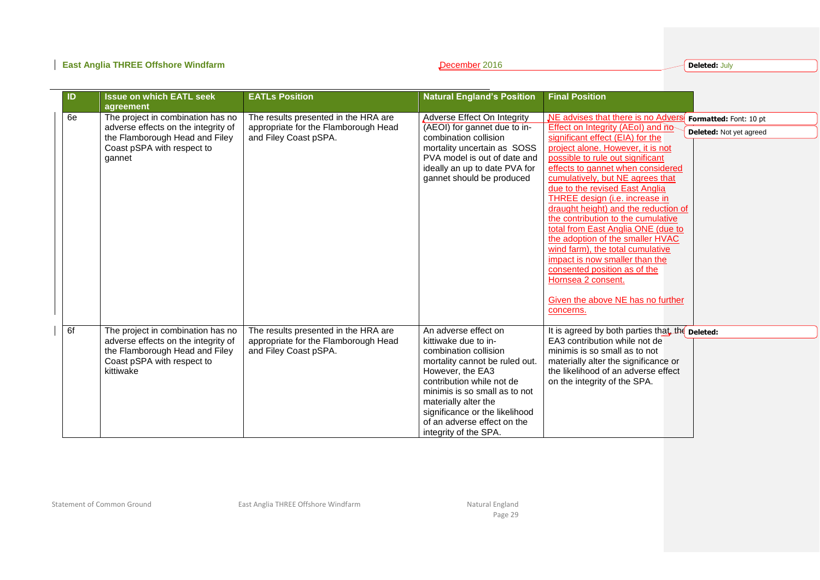**Deleted:** July

| ID | <b>Issue on which EATL seek</b><br>agreement                                                                                                          | <b>EATLs Position</b>                                                                                 | <b>Natural England's Position</b>                                                                                                                                                                                                                                                                           | <b>Final Position</b>                                                                                                                                                                                                                                                                                                                                                                                                                                                                                                                                                                                                                                                                                                                |
|----|-------------------------------------------------------------------------------------------------------------------------------------------------------|-------------------------------------------------------------------------------------------------------|-------------------------------------------------------------------------------------------------------------------------------------------------------------------------------------------------------------------------------------------------------------------------------------------------------------|--------------------------------------------------------------------------------------------------------------------------------------------------------------------------------------------------------------------------------------------------------------------------------------------------------------------------------------------------------------------------------------------------------------------------------------------------------------------------------------------------------------------------------------------------------------------------------------------------------------------------------------------------------------------------------------------------------------------------------------|
| 6e | The project in combination has no<br>adverse effects on the integrity of<br>the Flamborough Head and Filey<br>Coast pSPA with respect to<br>gannet    | The results presented in the HRA are<br>appropriate for the Flamborough Head<br>and Filey Coast pSPA. | <b>Adverse Effect On Integrity</b><br>(AEOI) for gannet due to in-<br>combination collision<br>mortality uncertain as SOSS<br>PVA model is out of date and<br>ideally an up to date PVA for<br>gannet should be produced                                                                                    | NE advises that there is no Advers<br>Formatted: Font: 10 pt<br>Effect on Integrity (AEoI) and no-<br><b>Deleted:</b> Not yet agreed<br>significant effect (EIA) for the<br>project alone. However, it is not<br>possible to rule out significant<br>effects to gannet when considered<br>cumulatively, but NE agrees that<br>due to the revised East Anglia<br>THREE design (i.e. increase in<br>draught height) and the reduction of<br>the contribution to the cumulative<br>total from East Anglia ONE (due to<br>the adoption of the smaller HVAC<br>wind farm), the total cumulative<br>impact is now smaller than the<br>consented position as of the<br>Hornsea 2 consent.<br>Given the above NE has no further<br>concerns. |
| 6f | The project in combination has no<br>adverse effects on the integrity of<br>the Flamborough Head and Filey<br>Coast pSPA with respect to<br>kittiwake | The results presented in the HRA are<br>appropriate for the Flamborough Head<br>and Filey Coast pSPA. | An adverse effect on<br>kittiwake due to in-<br>combination collision<br>mortality cannot be ruled out.<br>However, the EA3<br>contribution while not de<br>minimis is so small as to not<br>materially alter the<br>significance or the likelihood<br>of an adverse effect on the<br>integrity of the SPA. | It is agreed by both parties that the <b>Deleted:</b><br>EA3 contribution while not de<br>minimis is so small as to not<br>materially alter the significance or<br>the likelihood of an adverse effect<br>on the integrity of the SPA.                                                                                                                                                                                                                                                                                                                                                                                                                                                                                               |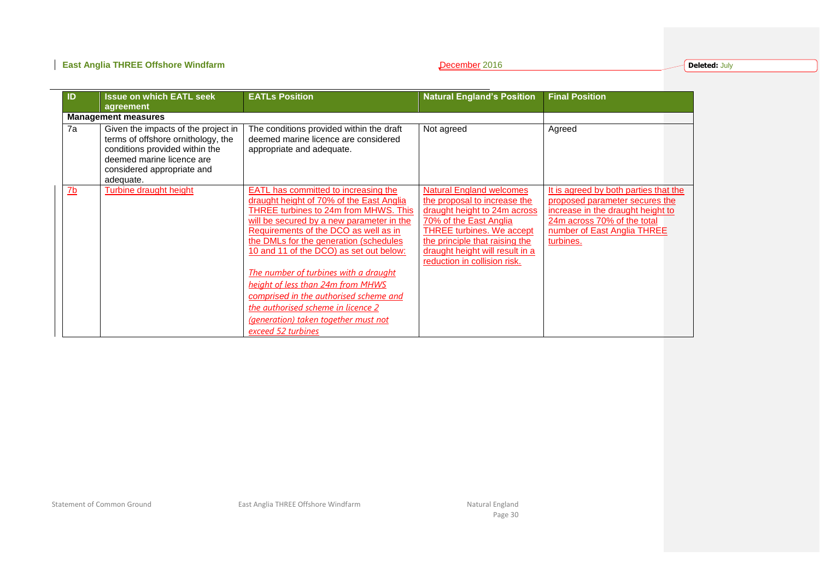### **East Anglia THREE Offshore Windfarm December 2016 December 2016**

**Deleted:** July

| <b>Issue on which EATL seek</b><br>ID                                                                                                                                                     | <b>EATLs Position</b>                                                                                                                                                                                                                                                                                                                                                                                                                                                                                                                   | <b>Natural England's Position</b>                                                                                                                                                                                                                                  | <b>Final Position</b>                                                                                                                                                                   |
|-------------------------------------------------------------------------------------------------------------------------------------------------------------------------------------------|-----------------------------------------------------------------------------------------------------------------------------------------------------------------------------------------------------------------------------------------------------------------------------------------------------------------------------------------------------------------------------------------------------------------------------------------------------------------------------------------------------------------------------------------|--------------------------------------------------------------------------------------------------------------------------------------------------------------------------------------------------------------------------------------------------------------------|-----------------------------------------------------------------------------------------------------------------------------------------------------------------------------------------|
| agreement                                                                                                                                                                                 |                                                                                                                                                                                                                                                                                                                                                                                                                                                                                                                                         |                                                                                                                                                                                                                                                                    |                                                                                                                                                                                         |
| <b>Management measures</b>                                                                                                                                                                |                                                                                                                                                                                                                                                                                                                                                                                                                                                                                                                                         |                                                                                                                                                                                                                                                                    |                                                                                                                                                                                         |
| 7a<br>Given the impacts of the project in<br>terms of offshore ornithology, the<br>conditions provided within the<br>deemed marine licence are<br>considered appropriate and<br>adequate. | The conditions provided within the draft<br>deemed marine licence are considered<br>appropriate and adequate.                                                                                                                                                                                                                                                                                                                                                                                                                           | Not agreed                                                                                                                                                                                                                                                         | Agreed                                                                                                                                                                                  |
| <b>Turbine draught height</b><br>$\underline{7b}$                                                                                                                                         | EATL has committed to increasing the<br>draught height of 70% of the East Anglia<br>THREE turbines to 24m from MHWS. This<br>will be secured by a new parameter in the<br>Requirements of the DCO as well as in<br>the DMLs for the generation (schedules<br>10 and 11 of the DCO) as set out below:<br>The number of turbines with a draught<br>height of less than 24m from MHWS<br>comprised in the authorised scheme and<br><u>the authorised scheme in licence 2</u><br>(generation) taken together must not<br>exceed 52 turbines | <b>Natural England welcomes</b><br>the proposal to increase the<br>draught height to 24m across<br>70% of the East Anglia<br><b>THREE turbines. We accept</b><br>the principle that raising the<br>draught height will result in a<br>reduction in collision risk. | It is agreed by both parties that the<br>proposed parameter secures the<br>increase in the draught height to<br>24m across 70% of the total<br>number of East Anglia THREE<br>turbines. |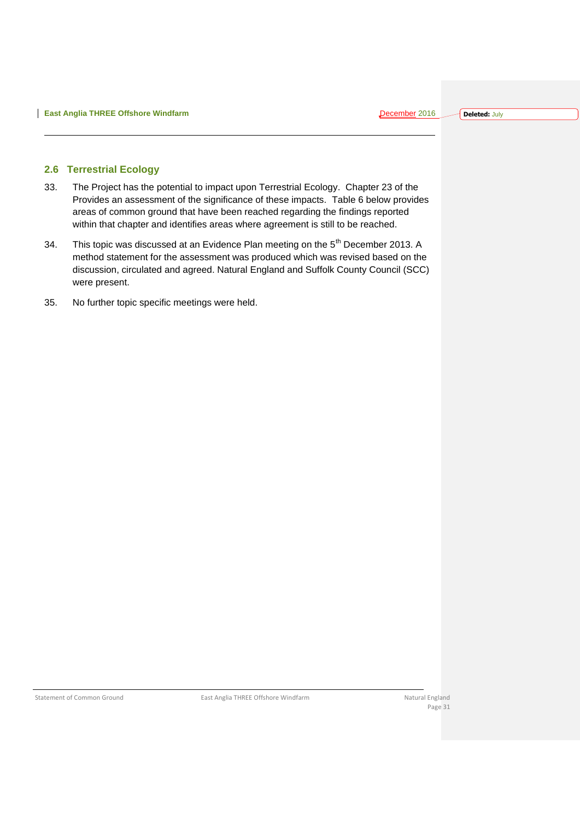#### <span id="page-31-0"></span>**2.6 Terrestrial Ecology**

- 33. The Project has the potential to impact upon Terrestrial Ecology. Chapter 23 of the Provides an assessment of the significance of these impacts. Table 6 below provides areas of common ground that have been reached regarding the findings reported within that chapter and identifies areas where agreement is still to be reached.
- 34. This topic was discussed at an Evidence Plan meeting on the 5<sup>th</sup> December 2013. A method statement for the assessment was produced which was revised based on the discussion, circulated and agreed. Natural England and Suffolk County Council (SCC) were present.
- 35. No further topic specific meetings were held.

Statement of Common Ground **East Anglia THREE Offshore Windfarm** Natural England Natural England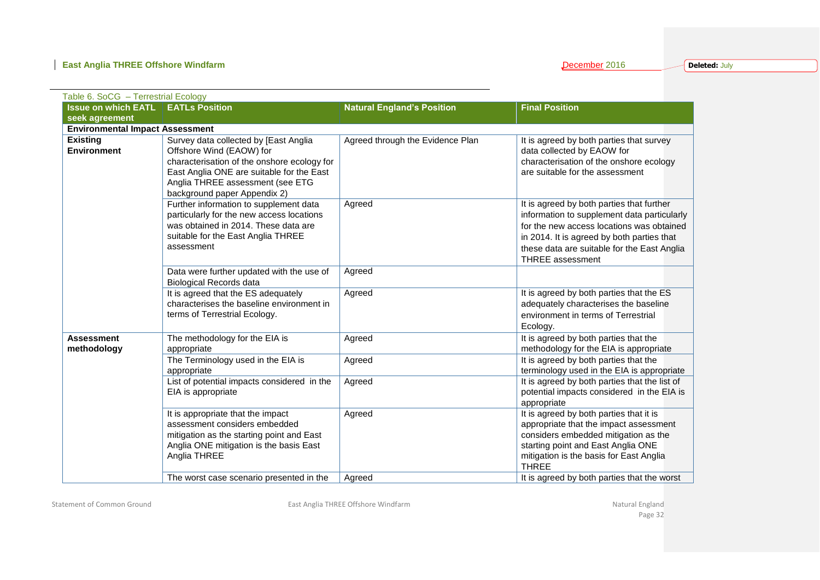### **East Anglia THREE Offshore Windfarm**

|  |  | December 2016 |  |  |
|--|--|---------------|--|--|
|  |  |               |  |  |

**Deleted:** July

| Table 6. SoCG - Terrestrial Ecology    |                                                                                                                                                                                                                                   |                                   |                                                                                                                                                                                                                                                               |
|----------------------------------------|-----------------------------------------------------------------------------------------------------------------------------------------------------------------------------------------------------------------------------------|-----------------------------------|---------------------------------------------------------------------------------------------------------------------------------------------------------------------------------------------------------------------------------------------------------------|
| <b>Issue on which EATL</b>             | <b>EATLs Position</b>                                                                                                                                                                                                             | <b>Natural England's Position</b> | <b>Final Position</b>                                                                                                                                                                                                                                         |
| seek agreement                         |                                                                                                                                                                                                                                   |                                   |                                                                                                                                                                                                                                                               |
| <b>Environmental Impact Assessment</b> |                                                                                                                                                                                                                                   |                                   |                                                                                                                                                                                                                                                               |
| <b>Existing</b><br><b>Environment</b>  | Survey data collected by [East Anglia<br>Offshore Wind (EAOW) for<br>characterisation of the onshore ecology for<br>East Anglia ONE are suitable for the East<br>Anglia THREE assessment (see ETG<br>background paper Appendix 2) | Agreed through the Evidence Plan  | It is agreed by both parties that survey<br>data collected by EAOW for<br>characterisation of the onshore ecology<br>are suitable for the assessment                                                                                                          |
|                                        | Further information to supplement data<br>particularly for the new access locations<br>was obtained in 2014. These data are<br>suitable for the East Anglia THREE<br>assessment                                                   | Agreed                            | It is agreed by both parties that further<br>information to supplement data particularly<br>for the new access locations was obtained<br>in 2014. It is agreed by both parties that<br>these data are suitable for the East Anglia<br><b>THREE</b> assessment |
|                                        | Data were further updated with the use of<br><b>Biological Records data</b>                                                                                                                                                       | Agreed                            |                                                                                                                                                                                                                                                               |
|                                        | It is agreed that the ES adequately<br>characterises the baseline environment in<br>terms of Terrestrial Ecology.                                                                                                                 | Agreed                            | It is agreed by both parties that the ES<br>adequately characterises the baseline<br>environment in terms of Terrestrial<br>Ecology.                                                                                                                          |
| <b>Assessment</b><br>methodology       | The methodology for the EIA is<br>appropriate                                                                                                                                                                                     | Agreed                            | It is agreed by both parties that the<br>methodology for the EIA is appropriate                                                                                                                                                                               |
|                                        | The Terminology used in the EIA is<br>appropriate                                                                                                                                                                                 | Agreed                            | It is agreed by both parties that the<br>terminology used in the EIA is appropriate                                                                                                                                                                           |
|                                        | List of potential impacts considered in the<br>EIA is appropriate                                                                                                                                                                 | Agreed                            | It is agreed by both parties that the list of<br>potential impacts considered in the EIA is<br>appropriate                                                                                                                                                    |
|                                        | It is appropriate that the impact<br>assessment considers embedded<br>mitigation as the starting point and East<br>Anglia ONE mitigation is the basis East<br>Anglia THREE                                                        | Agreed                            | It is agreed by both parties that it is<br>appropriate that the impact assessment<br>considers embedded mitigation as the<br>starting point and East Anglia ONE<br>mitigation is the basis for East Anglia<br><b>THREE</b>                                    |
|                                        | The worst case scenario presented in the                                                                                                                                                                                          | Agreed                            | It is agreed by both parties that the worst                                                                                                                                                                                                                   |

Statement of Common Ground **East Anglia THREE Offshore Windfarm** Changes and Statement of Common Ground England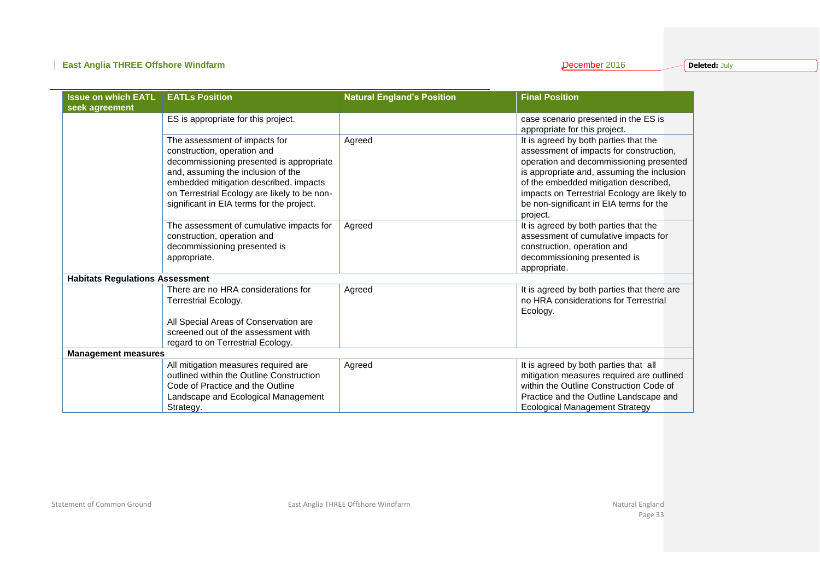### **East Anglia THREE Offshore Windfarm**

| December 2016 |  |  |  |  |  |
|---------------|--|--|--|--|--|
|               |  |  |  |  |  |

**Deleted:** July

| <b>Issue on which EATL</b>             | <b>EATLs Position</b>                        | <b>Natural England's Position</b> | <b>Final Position</b>                               |
|----------------------------------------|----------------------------------------------|-----------------------------------|-----------------------------------------------------|
| seek agreement                         |                                              |                                   |                                                     |
|                                        | ES is appropriate for this project.          |                                   | case scenario presented in the ES is                |
|                                        |                                              |                                   | appropriate for this project.                       |
|                                        | The assessment of impacts for                | Agreed                            | It is agreed by both parties that the               |
|                                        | construction, operation and                  |                                   | assessment of impacts for construction,             |
|                                        | decommissioning presented is appropriate     |                                   | operation and decommissioning presented             |
|                                        | and, assuming the inclusion of the           |                                   | is appropriate and, assuming the inclusion          |
|                                        | embedded mitigation described, impacts       |                                   | of the embedded mitigation described,               |
|                                        | on Terrestrial Ecology are likely to be non- |                                   | impacts on Terrestrial Ecology are likely to        |
|                                        | significant in EIA terms for the project.    |                                   | be non-significant in EIA terms for the<br>project. |
|                                        | The assessment of cumulative impacts for     | Agreed                            | It is agreed by both parties that the               |
|                                        | construction, operation and                  |                                   | assessment of cumulative impacts for                |
|                                        | decommissioning presented is                 |                                   | construction, operation and                         |
|                                        | appropriate.                                 |                                   | decommissioning presented is                        |
|                                        |                                              |                                   | appropriate.                                        |
| <b>Habitats Regulations Assessment</b> |                                              |                                   |                                                     |
|                                        | There are no HRA considerations for          | Agreed                            | It is agreed by both parties that there are         |
|                                        | <b>Terrestrial Ecology.</b>                  |                                   | no HRA considerations for Terrestrial               |
|                                        |                                              |                                   | Ecology.                                            |
|                                        | All Special Areas of Conservation are        |                                   |                                                     |
|                                        | screened out of the assessment with          |                                   |                                                     |
|                                        | regard to on Terrestrial Ecology.            |                                   |                                                     |
| <b>Management measures</b>             |                                              |                                   |                                                     |
|                                        | All mitigation measures required are         | Agreed                            | It is agreed by both parties that all               |
|                                        | outlined within the Outline Construction     |                                   | mitigation measures required are outlined           |
|                                        | Code of Practice and the Outline             |                                   | within the Outline Construction Code of             |
|                                        | Landscape and Ecological Management          |                                   | Practice and the Outline Landscape and              |
|                                        | Strategy.                                    |                                   | <b>Ecological Management Strategy</b>               |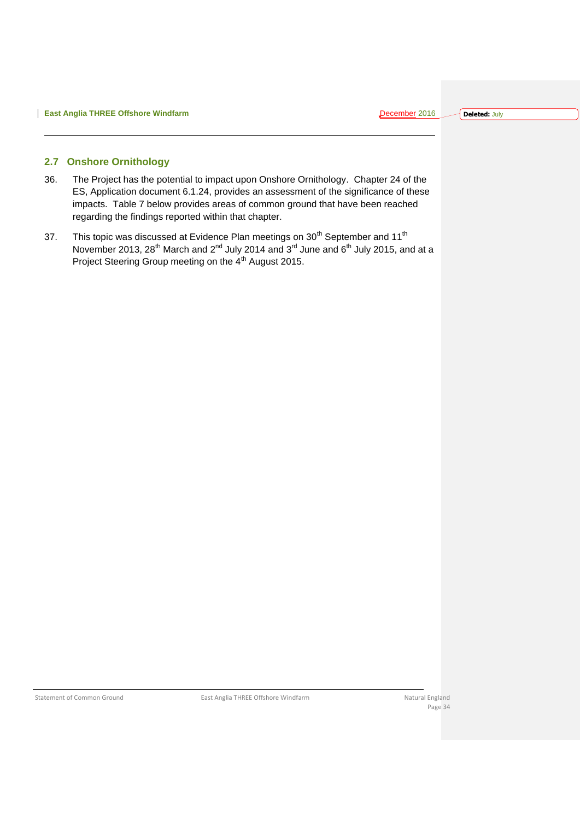#### <span id="page-34-0"></span>**2.7 Onshore Ornithology**

- 36. The Project has the potential to impact upon Onshore Ornithology. Chapter 24 of the ES, Application document 6.1.24, provides an assessment of the significance of these impacts. Table 7 below provides areas of common ground that have been reached regarding the findings reported within that chapter.
- 37. This topic was discussed at Evidence Plan meetings on  $30<sup>th</sup>$  September and 11<sup>th</sup> November 2013, 28<sup>th</sup> March and 2<sup>nd</sup> July 2014 and 3<sup>rd</sup> June and 6<sup>th</sup> July 2015, and at a Project Steering Group meeting on the 4<sup>th</sup> August 2015.

Statement of Common Ground **East Anglia THREE Offshore Windfarm** Natural England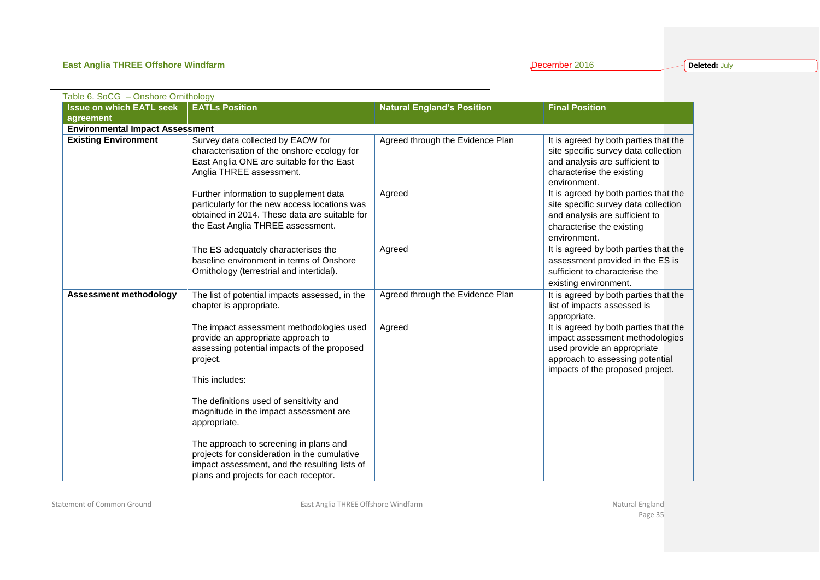**Deleted:** July

| Table 6. SoCG - Onshore Ornithology    |                                                                                                                                                                                             |                                   |                                                                                                                                                                                |
|----------------------------------------|---------------------------------------------------------------------------------------------------------------------------------------------------------------------------------------------|-----------------------------------|--------------------------------------------------------------------------------------------------------------------------------------------------------------------------------|
| <b>Issue on which EATL seek</b>        | <b>EATLs Position</b>                                                                                                                                                                       | <b>Natural England's Position</b> | <b>Final Position</b>                                                                                                                                                          |
| agreement                              |                                                                                                                                                                                             |                                   |                                                                                                                                                                                |
| <b>Environmental Impact Assessment</b> |                                                                                                                                                                                             |                                   |                                                                                                                                                                                |
| <b>Existing Environment</b>            | Survey data collected by EAOW for<br>characterisation of the onshore ecology for<br>East Anglia ONE are suitable for the East<br>Anglia THREE assessment.                                   | Agreed through the Evidence Plan  | It is agreed by both parties that the<br>site specific survey data collection<br>and analysis are sufficient to<br>characterise the existing<br>environment.                   |
|                                        | Further information to supplement data<br>particularly for the new access locations was<br>obtained in 2014. These data are suitable for<br>the East Anglia THREE assessment.               | Agreed                            | It is agreed by both parties that the<br>site specific survey data collection<br>and analysis are sufficient to<br>characterise the existing<br>environment.                   |
|                                        | The ES adequately characterises the<br>baseline environment in terms of Onshore<br>Ornithology (terrestrial and intertidal).                                                                | Agreed                            | It is agreed by both parties that the<br>assessment provided in the ES is<br>sufficient to characterise the<br>existing environment.                                           |
| <b>Assessment methodology</b>          | The list of potential impacts assessed, in the<br>chapter is appropriate.                                                                                                                   | Agreed through the Evidence Plan  | It is agreed by both parties that the<br>list of impacts assessed is<br>appropriate.                                                                                           |
|                                        | The impact assessment methodologies used<br>provide an appropriate approach to<br>assessing potential impacts of the proposed<br>project.<br>This includes:                                 | Agreed                            | It is agreed by both parties that the<br>impact assessment methodologies<br>used provide an appropriate<br>approach to assessing potential<br>impacts of the proposed project. |
|                                        | The definitions used of sensitivity and<br>magnitude in the impact assessment are<br>appropriate.<br>The approach to screening in plans and<br>projects for consideration in the cumulative |                                   |                                                                                                                                                                                |
|                                        | impact assessment, and the resulting lists of<br>plans and projects for each receptor.                                                                                                      |                                   |                                                                                                                                                                                |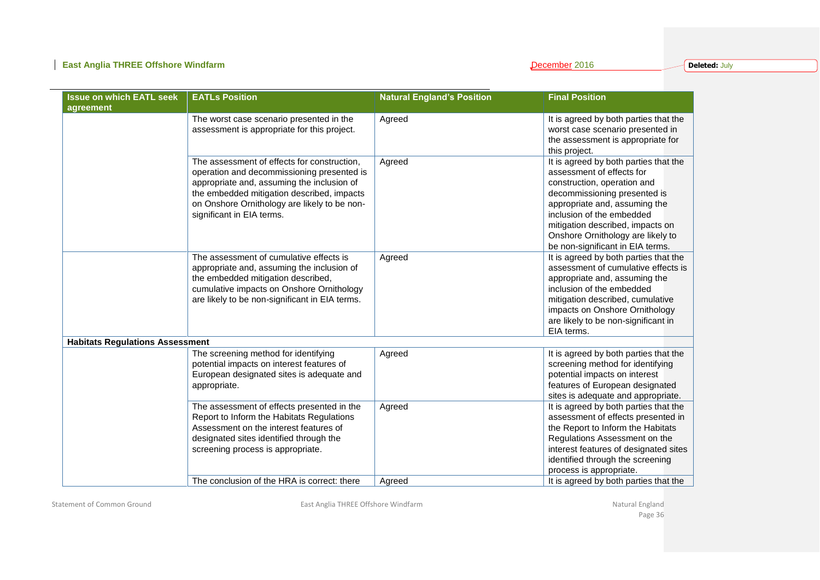**Deleted:** July

| <b>Issue on which EATL seek</b>        | <b>EATLs Position</b>                                                                                                                                                                                                                                              | <b>Natural England's Position</b> | <b>Final Position</b>                                                                                                                                                                                                                                                                                                         |
|----------------------------------------|--------------------------------------------------------------------------------------------------------------------------------------------------------------------------------------------------------------------------------------------------------------------|-----------------------------------|-------------------------------------------------------------------------------------------------------------------------------------------------------------------------------------------------------------------------------------------------------------------------------------------------------------------------------|
| agreement                              | The worst case scenario presented in the                                                                                                                                                                                                                           | Agreed                            | It is agreed by both parties that the                                                                                                                                                                                                                                                                                         |
|                                        | assessment is appropriate for this project.                                                                                                                                                                                                                        |                                   | worst case scenario presented in<br>the assessment is appropriate for                                                                                                                                                                                                                                                         |
|                                        | The assessment of effects for construction,<br>operation and decommissioning presented is<br>appropriate and, assuming the inclusion of<br>the embedded mitigation described, impacts<br>on Onshore Ornithology are likely to be non-<br>significant in EIA terms. | Agreed                            | this project.<br>It is agreed by both parties that the<br>assessment of effects for<br>construction, operation and<br>decommissioning presented is<br>appropriate and, assuming the<br>inclusion of the embedded<br>mitigation described, impacts on<br>Onshore Ornithology are likely to<br>be non-significant in EIA terms. |
|                                        | The assessment of cumulative effects is<br>appropriate and, assuming the inclusion of<br>the embedded mitigation described,<br>cumulative impacts on Onshore Ornithology<br>are likely to be non-significant in EIA terms.                                         | Agreed                            | It is agreed by both parties that the<br>assessment of cumulative effects is<br>appropriate and, assuming the<br>inclusion of the embedded<br>mitigation described, cumulative<br>impacts on Onshore Ornithology<br>are likely to be non-significant in<br>EIA terms.                                                         |
| <b>Habitats Regulations Assessment</b> |                                                                                                                                                                                                                                                                    |                                   |                                                                                                                                                                                                                                                                                                                               |
|                                        | The screening method for identifying<br>potential impacts on interest features of<br>European designated sites is adequate and<br>appropriate.                                                                                                                     | Agreed                            | It is agreed by both parties that the<br>screening method for identifying<br>potential impacts on interest<br>features of European designated<br>sites is adequate and appropriate.                                                                                                                                           |
|                                        | The assessment of effects presented in the<br>Report to Inform the Habitats Regulations<br>Assessment on the interest features of<br>designated sites identified through the<br>screening process is appropriate.                                                  | Agreed                            | It is agreed by both parties that the<br>assessment of effects presented in<br>the Report to Inform the Habitats<br>Regulations Assessment on the<br>interest features of designated sites<br>identified through the screening<br>process is appropriate.                                                                     |
|                                        | The conclusion of the HRA is correct: there                                                                                                                                                                                                                        | Agreed                            | It is agreed by both parties that the                                                                                                                                                                                                                                                                                         |

Statement of Common Ground **East Anglia THREE Offshore Windfarm** Changes and Statement of Common Ground England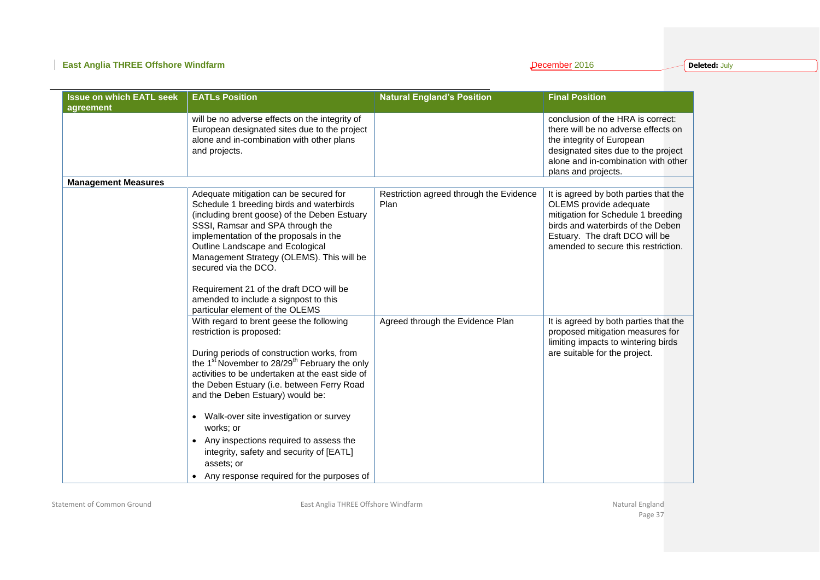**Deleted:** July

| <b>Issue on which EATL seek</b><br>agreement | <b>EATLs Position</b>                                                                                                                                                                                                                                                                                         | <b>Natural England's Position</b>       | <b>Final Position</b>                                                                                                                                                                                      |
|----------------------------------------------|---------------------------------------------------------------------------------------------------------------------------------------------------------------------------------------------------------------------------------------------------------------------------------------------------------------|-----------------------------------------|------------------------------------------------------------------------------------------------------------------------------------------------------------------------------------------------------------|
|                                              | will be no adverse effects on the integrity of<br>European designated sites due to the project<br>alone and in-combination with other plans<br>and projects.                                                                                                                                                  |                                         | conclusion of the HRA is correct:<br>there will be no adverse effects on<br>the integrity of European<br>designated sites due to the project<br>alone and in-combination with other<br>plans and projects. |
| <b>Management Measures</b>                   | Adequate mitigation can be secured for                                                                                                                                                                                                                                                                        | Restriction agreed through the Evidence | It is agreed by both parties that the                                                                                                                                                                      |
|                                              | Schedule 1 breeding birds and waterbirds<br>(including brent goose) of the Deben Estuary<br>SSSI, Ramsar and SPA through the<br>implementation of the proposals in the<br>Outline Landscape and Ecological<br>Management Strategy (OLEMS). This will be<br>secured via the DCO.                               | Plan                                    | OLEMS provide adequate<br>mitigation for Schedule 1 breeding<br>birds and waterbirds of the Deben<br>Estuary. The draft DCO will be<br>amended to secure this restriction.                                 |
|                                              | Requirement 21 of the draft DCO will be<br>amended to include a signpost to this<br>particular element of the OLEMS                                                                                                                                                                                           |                                         |                                                                                                                                                                                                            |
|                                              | With regard to brent geese the following<br>restriction is proposed:<br>During periods of construction works, from<br>the 1st November to $28/29^{th}$ February the only<br>activities to be undertaken at the east side of<br>the Deben Estuary (i.e. between Ferry Road<br>and the Deben Estuary) would be: | Agreed through the Evidence Plan        | It is agreed by both parties that the<br>proposed mitigation measures for<br>limiting impacts to wintering birds<br>are suitable for the project.                                                          |
|                                              | Walk-over site investigation or survey<br>works: or<br>Any inspections required to assess the<br>$\bullet$<br>integrity, safety and security of [EATL]<br>assets; or<br>Any response required for the purposes of                                                                                             |                                         |                                                                                                                                                                                                            |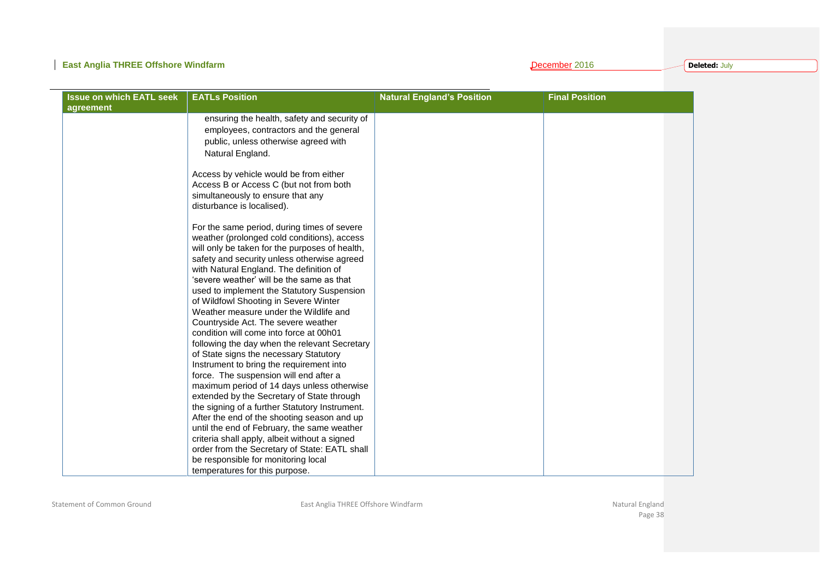### **East Anglia THREE Offshore Windfarm December 2016 December 2016**

**Deleted:** July

| <b>Issue on which EATL seek</b><br>agreement | <b>EATLs Position</b>                                                                                                                                                                                                                                                                                                                                                                                                                                                                                                                                                                                                                                                                                                                                                                                                                                                                                                                                                                                                                                                                                                                                                                                                                                                                                                                                                                                                       | <b>Natural England's Position</b> | <b>Final Position</b> |
|----------------------------------------------|-----------------------------------------------------------------------------------------------------------------------------------------------------------------------------------------------------------------------------------------------------------------------------------------------------------------------------------------------------------------------------------------------------------------------------------------------------------------------------------------------------------------------------------------------------------------------------------------------------------------------------------------------------------------------------------------------------------------------------------------------------------------------------------------------------------------------------------------------------------------------------------------------------------------------------------------------------------------------------------------------------------------------------------------------------------------------------------------------------------------------------------------------------------------------------------------------------------------------------------------------------------------------------------------------------------------------------------------------------------------------------------------------------------------------------|-----------------------------------|-----------------------|
|                                              | ensuring the health, safety and security of<br>employees, contractors and the general<br>public, unless otherwise agreed with<br>Natural England.<br>Access by vehicle would be from either<br>Access B or Access C (but not from both<br>simultaneously to ensure that any<br>disturbance is localised).<br>For the same period, during times of severe<br>weather (prolonged cold conditions), access<br>will only be taken for the purposes of health,<br>safety and security unless otherwise agreed<br>with Natural England. The definition of<br>'severe weather' will be the same as that<br>used to implement the Statutory Suspension<br>of Wildfowl Shooting in Severe Winter<br>Weather measure under the Wildlife and<br>Countryside Act. The severe weather<br>condition will come into force at 00h01<br>following the day when the relevant Secretary<br>of State signs the necessary Statutory<br>Instrument to bring the requirement into<br>force. The suspension will end after a<br>maximum period of 14 days unless otherwise<br>extended by the Secretary of State through<br>the signing of a further Statutory Instrument.<br>After the end of the shooting season and up<br>until the end of February, the same weather<br>criteria shall apply, albeit without a signed<br>order from the Secretary of State: EATL shall<br>be responsible for monitoring local<br>temperatures for this purpose. |                                   |                       |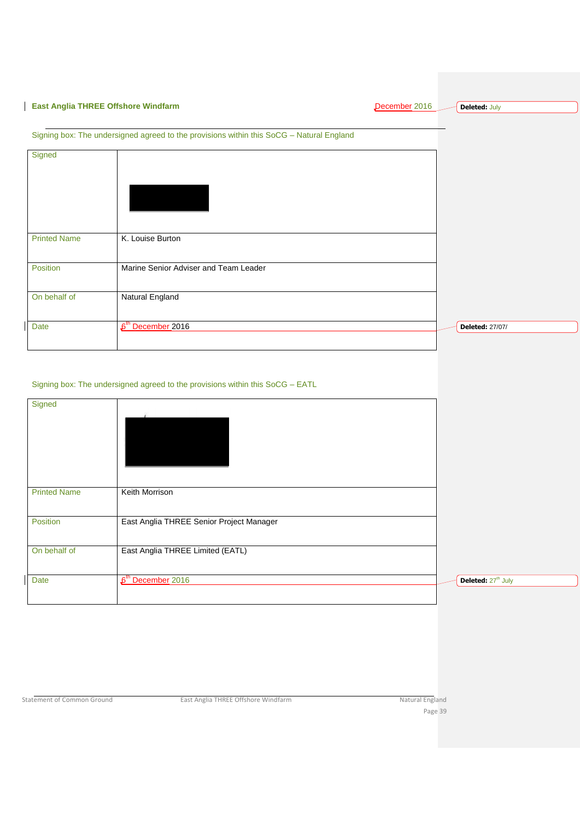### **East Anglia THREE Offshore Windfarm East Anglia THREE Offshore Windfarm**

**Deleted:** July

### Signing box: The undersigned agreed to the provisions within this SoCG – Natural England

| Signed              |                                       |                        |
|---------------------|---------------------------------------|------------------------|
| <b>Printed Name</b> | K. Louise Burton                      |                        |
| Position            | Marine Senior Adviser and Team Leader |                        |
| On behalf of        | Natural England                       |                        |
| Date                | 6 <sup>th</sup> December 2016         | <b>Deleted: 27/07/</b> |

#### Signing box: The undersigned agreed to the provisions within this SoCG – EATL

| Signed              |                                          |                                |
|---------------------|------------------------------------------|--------------------------------|
| <b>Printed Name</b> | Keith Morrison                           |                                |
| Position            | East Anglia THREE Senior Project Manager |                                |
| On behalf of        | East Anglia THREE Limited (EATL)         |                                |
| Date                | 6 <sup>th</sup> December 2016            | Deleted: 27 <sup>th</sup> July |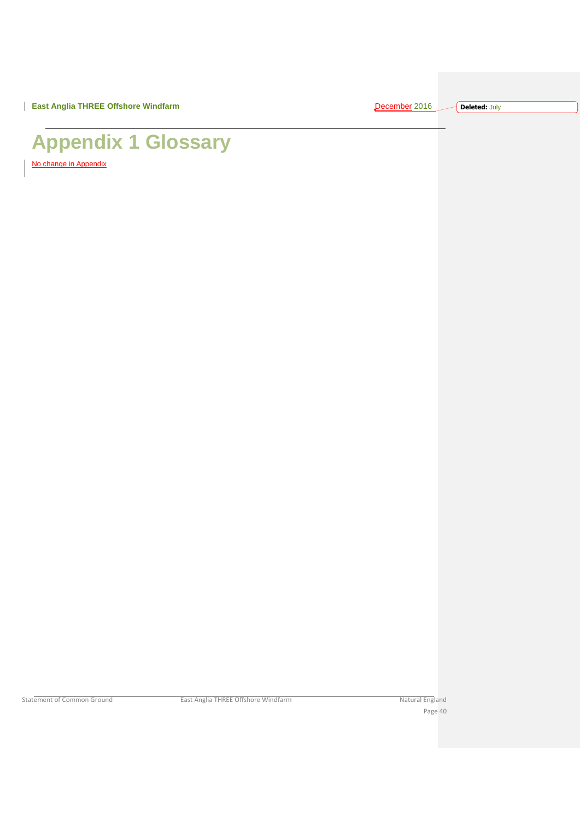**Deleted:** July

# <span id="page-40-0"></span>**Appendix 1 Glossary**

No change in Appendix

Statement of Common Ground East Anglia THREE Offshore Windfarm Natural England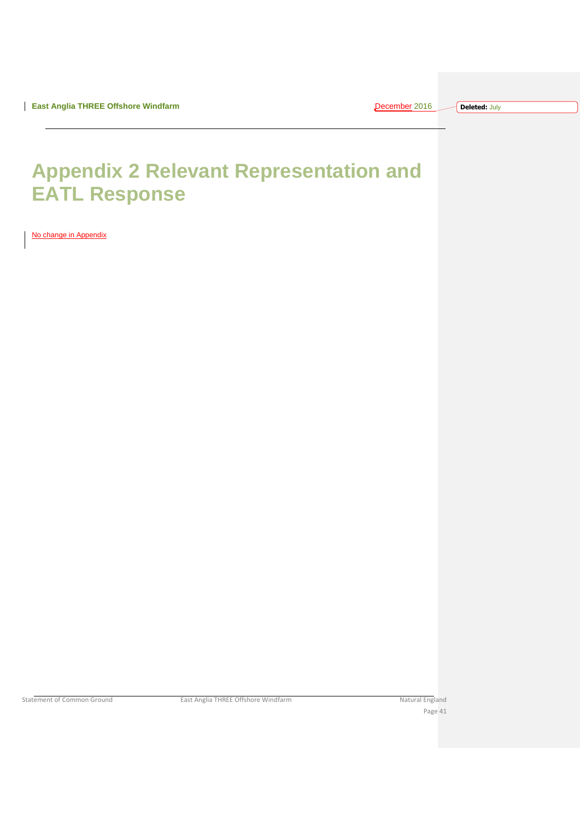| eren | $\overline{\phantom{a}}$ |  |
|------|--------------------------|--|
|      |                          |  |

## <span id="page-41-0"></span>**Appendix 2 Relevant Representation and EATL Response**

No change in Appendix

Statement of Common Ground East Anglia THREE Offshore Windfarm Natural England Natural England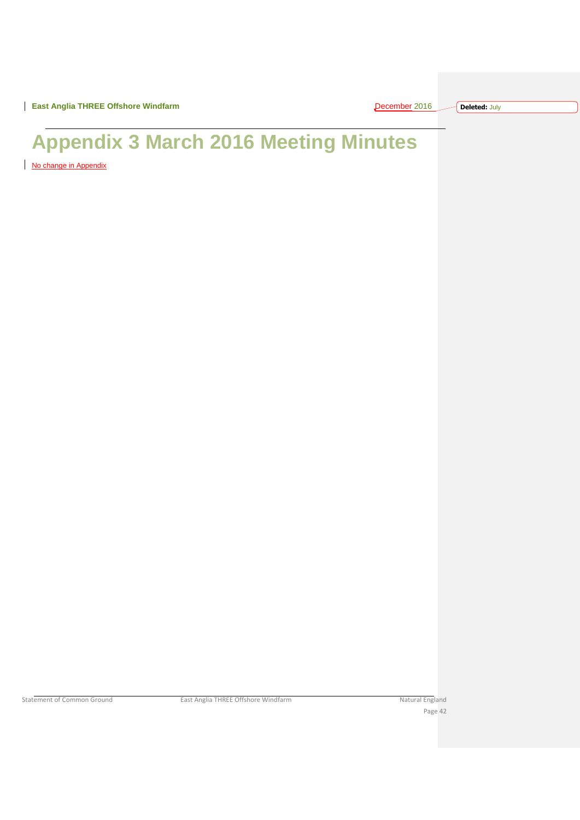**East Anglia THREE Offshore Windfarm** December 2016 2016 2017 2016

| ı. | eren | н | <b>T-1</b> |  |  |
|----|------|---|------------|--|--|
|    |      |   |            |  |  |

**Deleted:** July

# <span id="page-42-0"></span>**Appendix 3 March 2016 Meeting Minutes**

No change in Appendix

Statement of Common Ground East Anglia THREE Offshore Windfarm Natural England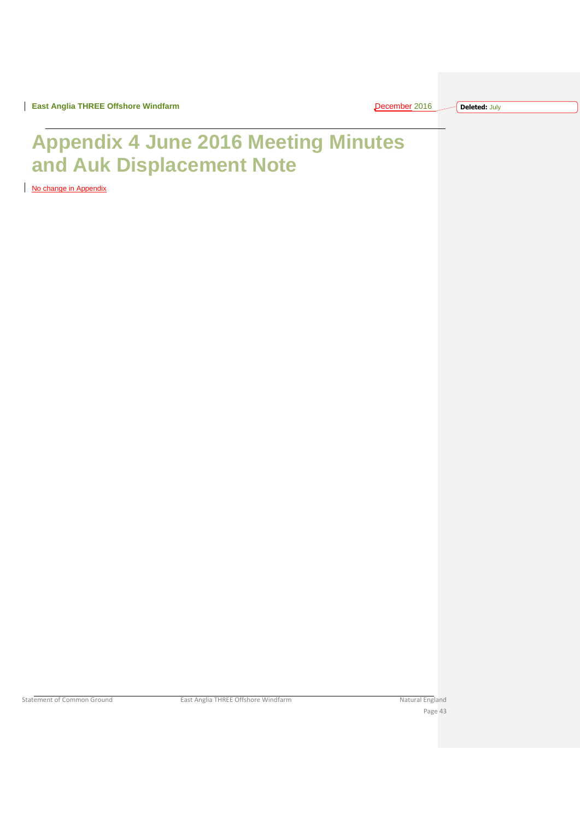**East Anglia THREE Offshore Windfarm** 

| December |  |  |
|----------|--|--|
|          |  |  |

**Deleted:** July

## <span id="page-43-0"></span>**Appendix 4 June 2016 Meeting Minutes and Auk Displacement Note**

No change in Appendix

Statement of Common Ground East Anglia THREE Offshore Windfarm Natural England Natural England